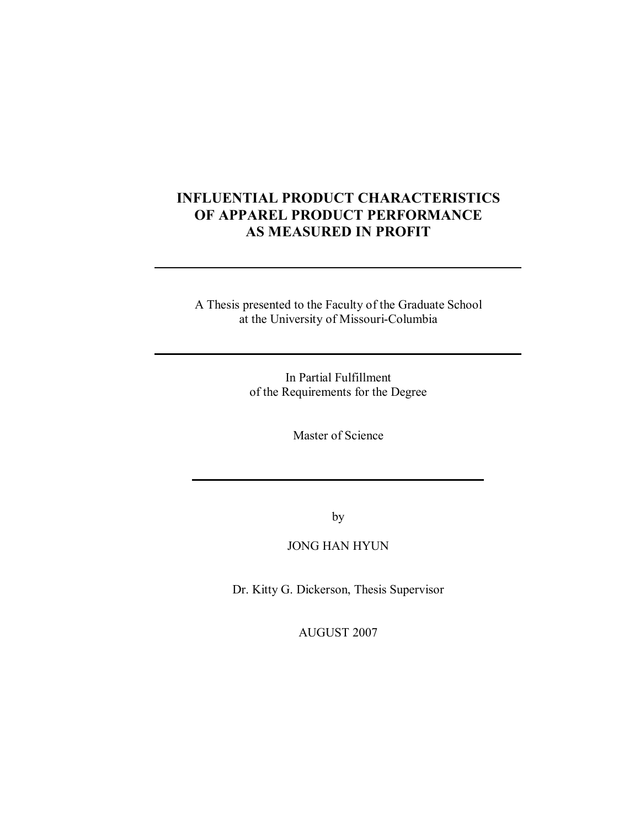## **INFLUENTIAL PRODUCT CHARACTERISTICS OF APPAREL PRODUCT PERFORMANCE AS MEASURED IN PROFIT**

A Thesis presented to the Faculty of the Graduate School at the University of Missouri-Columbia

> In Partial Fulfillment of the Requirements for the Degree

> > Master of Science

by

## JONG HAN HYUN

Dr. Kitty G. Dickerson, Thesis Supervisor

AUGUST 2007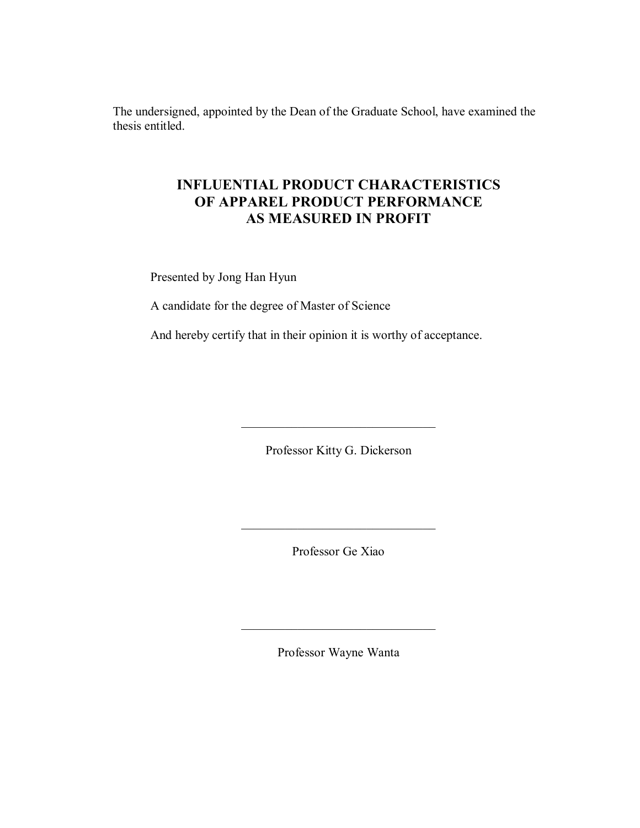The undersigned, appointed by the Dean of the Graduate School, have examined the thesis entitled.

## **INFLUENTIAL PRODUCT CHARACTERISTICS OF APPAREL PRODUCT PERFORMANCE AS MEASURED IN PROFIT**

Presented by Jong Han Hyun

A candidate for the degree of Master of Science

And hereby certify that in their opinion it is worthy of acceptance.

Professor Kitty G. Dickerson

 $\overline{\phantom{a}}$  , and the set of the set of the set of the set of the set of the set of the set of the set of the set of the set of the set of the set of the set of the set of the set of the set of the set of the set of the s

Professor Ge Xiao

 $\overline{\phantom{a}}$  , and the set of the set of the set of the set of the set of the set of the set of the set of the set of the set of the set of the set of the set of the set of the set of the set of the set of the set of the s

Professor Wayne Wanta

 $\mathcal{L}_\text{max}$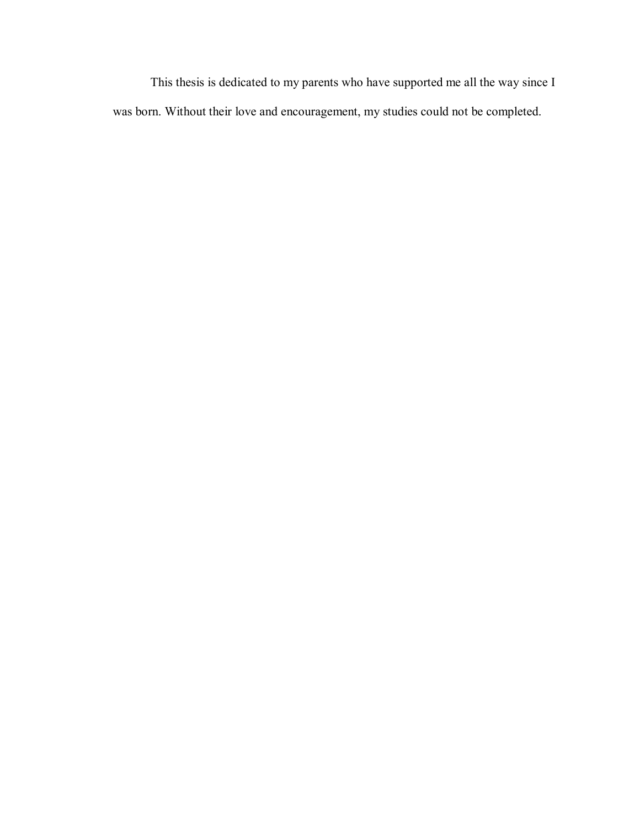This thesis is dedicated to my parents who have supported me all the way since I was born. Without their love and encouragement, my studies could not be completed.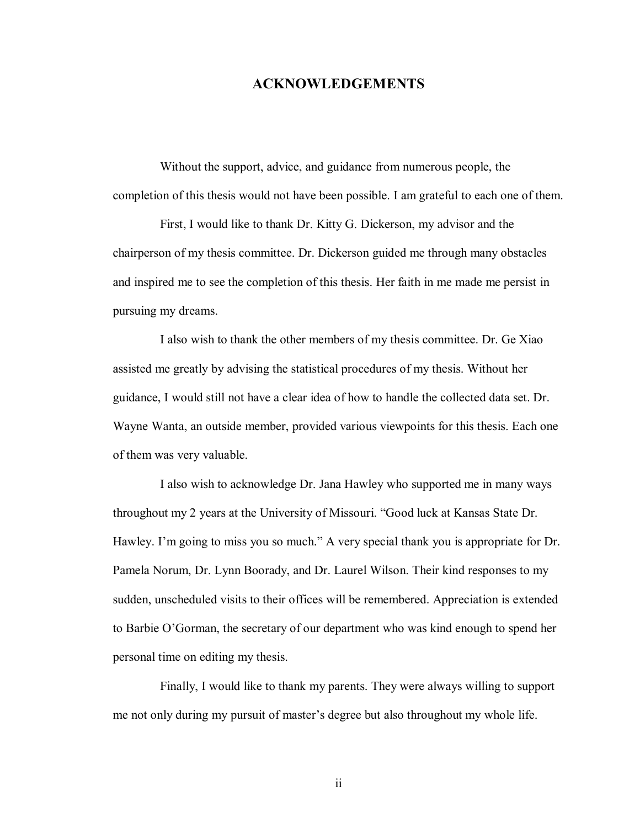## **ACKNOWLEDGEMENTS**

Without the support, advice, and guidance from numerous people, the completion of this thesis would not have been possible. I am grateful to each one of them.

First, I would like to thank Dr. Kitty G. Dickerson, my advisor and the chairperson of my thesis committee. Dr. Dickerson guided me through many obstacles and inspired me to see the completion of this thesis. Her faith in me made me persist in pursuing my dreams.

I also wish to thank the other members of my thesis committee. Dr. Ge Xiao assisted me greatly by advising the statistical procedures of my thesis. Without her guidance, I would still not have a clear idea of how to handle the collected data set. Dr. Wayne Wanta, an outside member, provided various viewpoints for this thesis. Each one of them was very valuable.

I also wish to acknowledge Dr. Jana Hawley who supported me in many ways throughout my 2 years at the University of Missouri. "Good luck at Kansas State Dr. Hawley. I'm going to miss you so much." A very special thank you is appropriate for Dr. Pamela Norum, Dr. Lynn Boorady, and Dr. Laurel Wilson. Their kind responses to my sudden, unscheduled visits to their offices will be remembered. Appreciation is extended to Barbie O'Gorman, the secretary of our department who was kind enough to spend her personal time on editing my thesis.

Finally, I would like to thank my parents. They were always willing to support me not only during my pursuit of master's degree but also throughout my whole life.

ii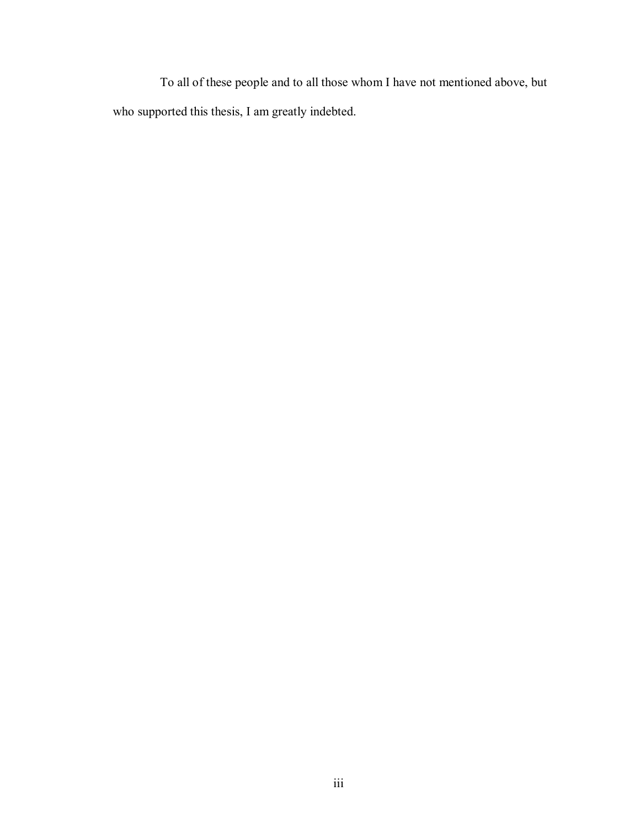To all of these people and to all those whom I have not mentioned above, but who supported this thesis, I am greatly indebted.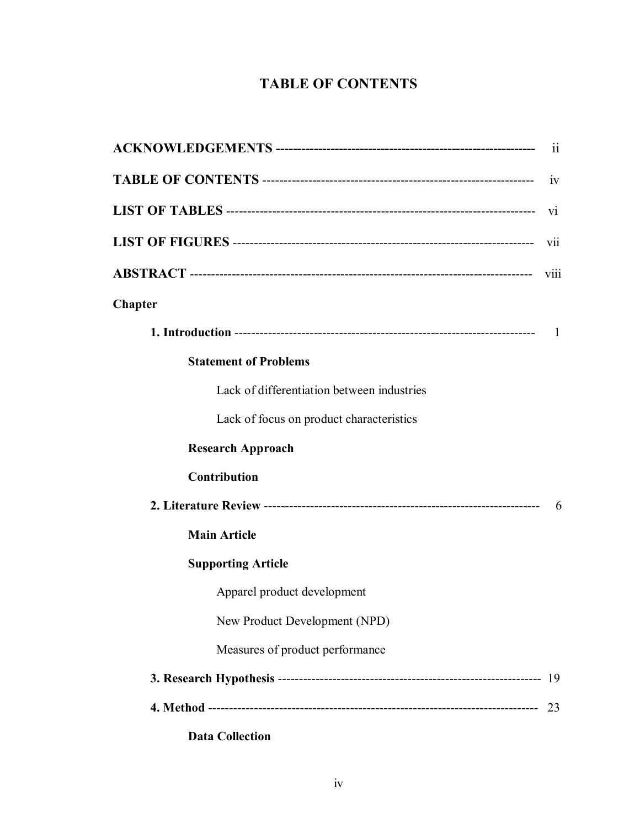# **TABLE OF CONTENTS**

|                                            | 11   |
|--------------------------------------------|------|
|                                            | 1V   |
|                                            | V1   |
|                                            | V11  |
|                                            | viii |
| <b>Chapter</b>                             |      |
|                                            | 1    |
| <b>Statement of Problems</b>               |      |
| Lack of differentiation between industries |      |
| Lack of focus on product characteristics   |      |
| <b>Research Approach</b>                   |      |
| Contribution                               |      |
|                                            | 6    |
| <b>Main Article</b>                        |      |
| <b>Supporting Article</b>                  |      |
| Apparel product development                |      |
| New Product Development (NPD)              |      |
| Measures of product performance            |      |
|                                            |      |
|                                            | 23   |
|                                            |      |

**Data Collection**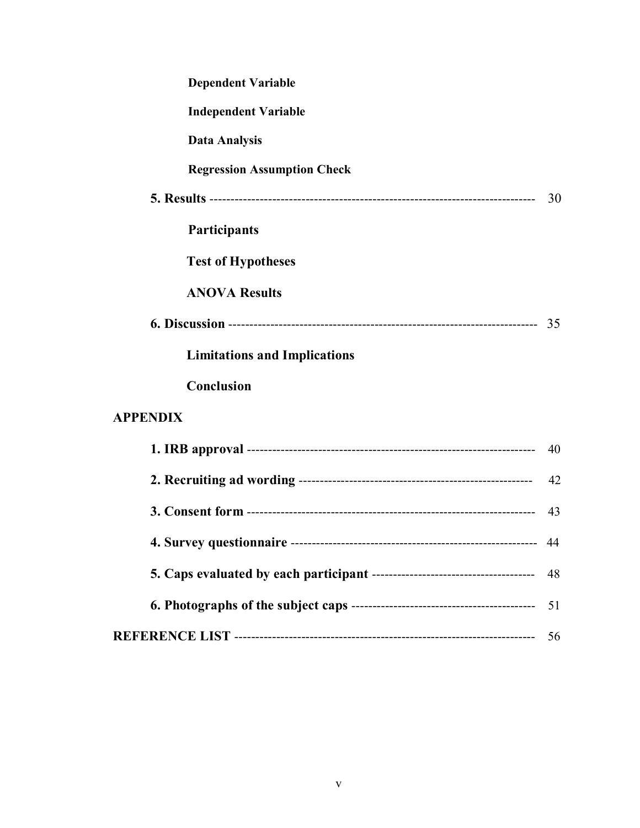| <b>Dependent Variable</b>           |    |
|-------------------------------------|----|
| <b>Independent Variable</b>         |    |
| <b>Data Analysis</b>                |    |
| <b>Regression Assumption Check</b>  |    |
|                                     | 30 |
| <b>Participants</b>                 |    |
| <b>Test of Hypotheses</b>           |    |
| <b>ANOVA Results</b>                |    |
|                                     |    |
| <b>Limitations and Implications</b> |    |
| Conclusion                          |    |
| <b>APPENDIX</b>                     |    |
|                                     | 40 |
|                                     | 42 |
|                                     | 43 |
|                                     | 44 |
|                                     | 48 |
|                                     | 51 |
|                                     | 56 |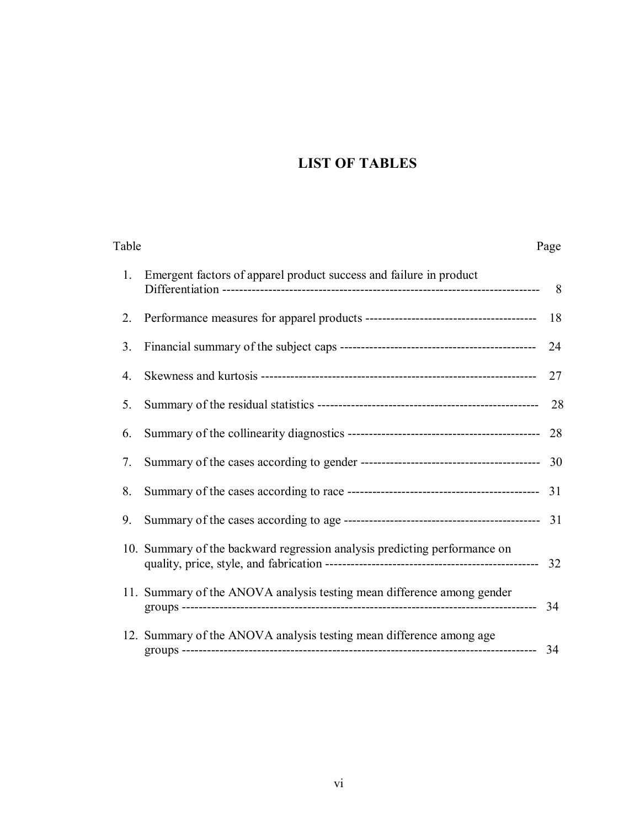# **LIST OF TABLES**

| Table |                                                                           | Page |
|-------|---------------------------------------------------------------------------|------|
| 1.    | Emergent factors of apparel product success and failure in product        | 8    |
| 2.    |                                                                           | 18   |
| 3.    |                                                                           | 24   |
| 4.    |                                                                           | 27   |
| 5.    |                                                                           | 28   |
| 6.    |                                                                           | 28   |
| 7.    |                                                                           |      |
| 8.    |                                                                           |      |
| 9.    |                                                                           |      |
|       | 10. Summary of the backward regression analysis predicting performance on |      |
|       | 11. Summary of the ANOVA analysis testing mean difference among gender    | 34   |
|       | 12. Summary of the ANOVA analysis testing mean difference among age       | 34   |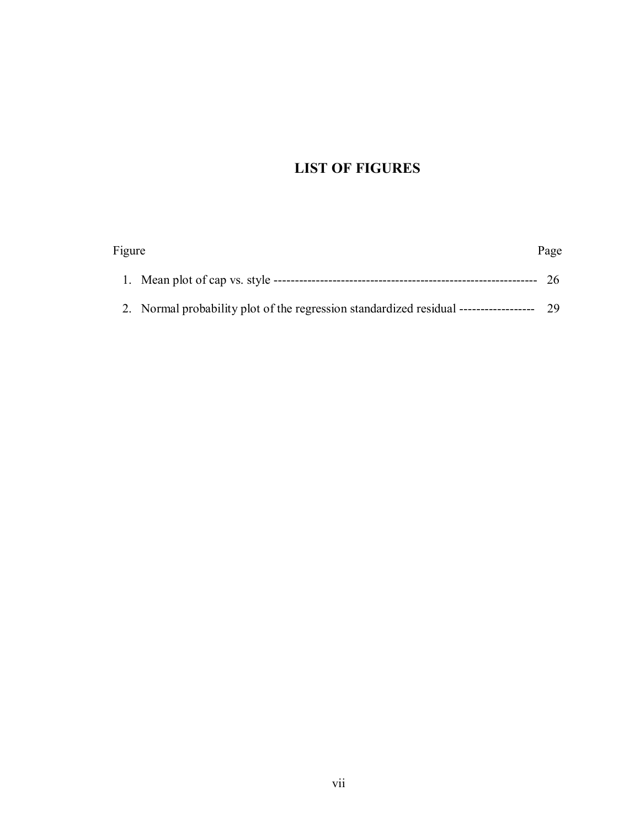# **LIST OF FIGURES**

| Figure |                                            | Page |
|--------|--------------------------------------------|------|
|        | 1. Mean plot of cap vs. style ------------ |      |
|        |                                            |      |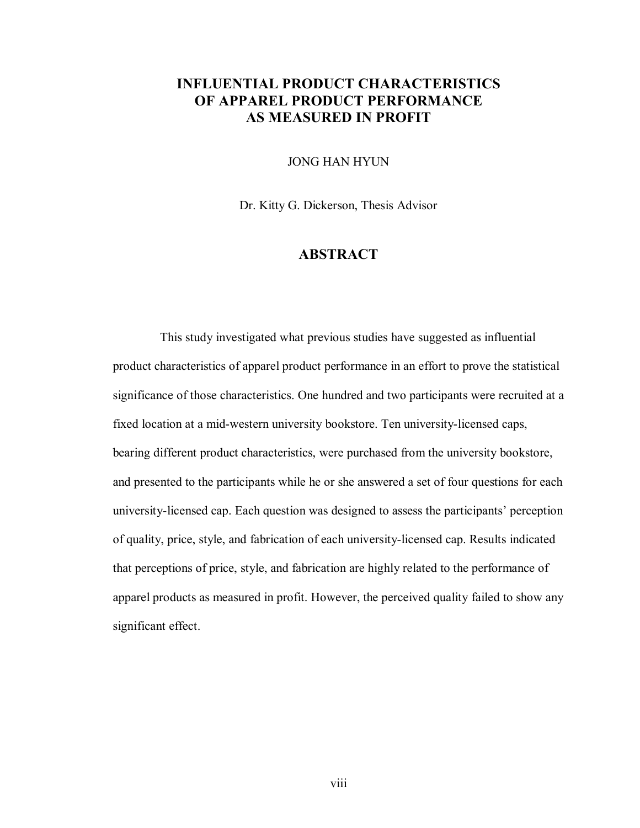## **INFLUENTIAL PRODUCT CHARACTERISTICS OF APPAREL PRODUCT PERFORMANCE AS MEASURED IN PROFIT**

JONG HAN HYUN

Dr. Kitty G. Dickerson, Thesis Advisor

## **ABSTRACT**

This study investigated what previous studies have suggested as influential product characteristics of apparel product performance in an effort to prove the statistical significance of those characteristics. One hundred and two participants were recruited at a fixed location at a mid-western university bookstore. Ten university-licensed caps, bearing different product characteristics, were purchased from the university bookstore, and presented to the participants while he or she answered a set of four questions for each university-licensed cap. Each question was designed to assess the participants' perception of quality, price, style, and fabrication of each university-licensed cap. Results indicated that perceptions of price, style, and fabrication are highly related to the performance of apparel products as measured in profit. However, the perceived quality failed to show any significant effect.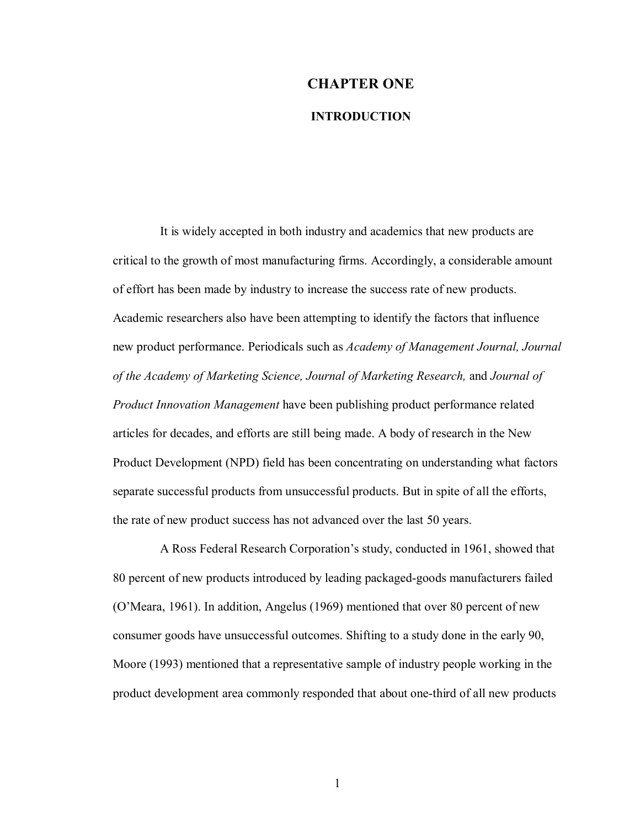# **CHAPTER ONE INTRODUCTION**

It is widely accepted in both industry and academics that new products are critical to the growth of most manufacturing firms. Accordingly, a considerable amount of effort has been made by industry to increase the success rate of new products. Academic researchers also have been attempting to identify the factors that influence new product performance. Periodicals such as *Academy of Management Journal, Journal of the Academy of Marketing Science, Journal of Marketing Research,* and *Journal of Product Innovation Management* have been publishing product performance related articles for decades, and efforts are still being made. A body of research in the New Product Development (NPD) field has been concentrating on understanding what factors separate successful products from unsuccessful products. But in spite of all the efforts, the rate of new product success has not advanced over the last 50 years.

A Ross Federal Research Corporation's study, conducted in 1961, showed that 80 percent of new products introduced by leading packaged-goods manufacturers failed (OíMeara, 1961). In addition, Angelus (1969) mentioned that over 80 percent of new consumer goods have unsuccessful outcomes. Shifting to a study done in the early 90, Moore (1993) mentioned that a representative sample of industry people working in the product development area commonly responded that about one-third of all new products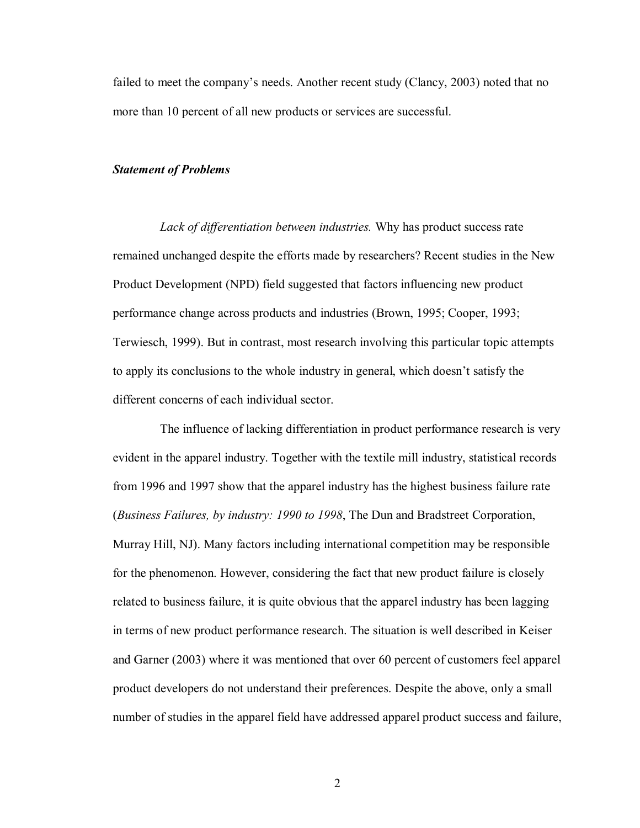failed to meet the company's needs. Another recent study (Clancy, 2003) noted that no more than 10 percent of all new products or services are successful.

#### *Statement of Problems*

*Lack of differentiation between industries.* Why has product success rate remained unchanged despite the efforts made by researchers? Recent studies in the New Product Development (NPD) field suggested that factors influencing new product performance change across products and industries (Brown, 1995; Cooper, 1993; Terwiesch, 1999). But in contrast, most research involving this particular topic attempts to apply its conclusions to the whole industry in general, which doesn't satisfy the different concerns of each individual sector.

The influence of lacking differentiation in product performance research is very evident in the apparel industry. Together with the textile mill industry, statistical records from 1996 and 1997 show that the apparel industry has the highest business failure rate (*Business Failures, by industry: 1990 to 1998*, The Dun and Bradstreet Corporation, Murray Hill, NJ). Many factors including international competition may be responsible for the phenomenon. However, considering the fact that new product failure is closely related to business failure, it is quite obvious that the apparel industry has been lagging in terms of new product performance research. The situation is well described in Keiser and Garner (2003) where it was mentioned that over 60 percent of customers feel apparel product developers do not understand their preferences. Despite the above, only a small number of studies in the apparel field have addressed apparel product success and failure,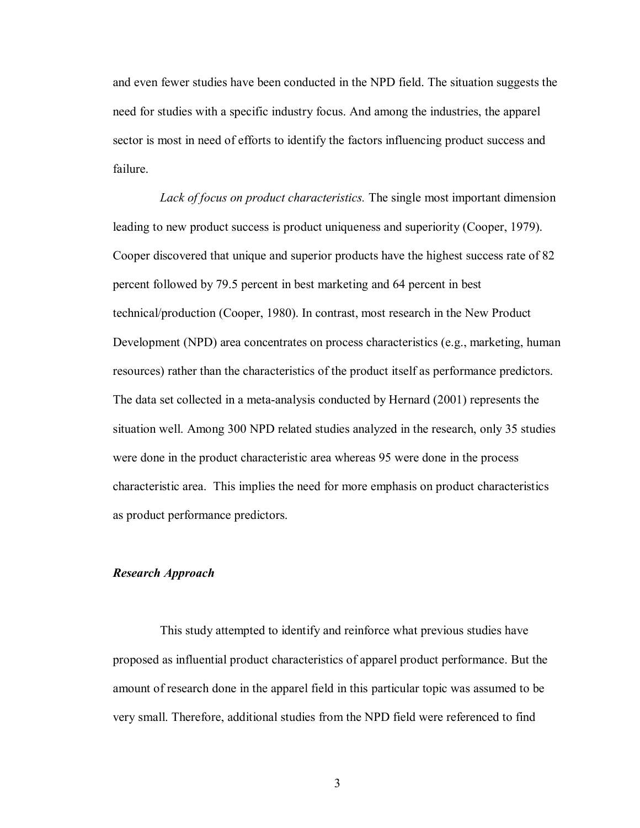and even fewer studies have been conducted in the NPD field. The situation suggests the need for studies with a specific industry focus. And among the industries, the apparel sector is most in need of efforts to identify the factors influencing product success and failure.

*Lack of focus on product characteristics.* The single most important dimension leading to new product success is product uniqueness and superiority (Cooper, 1979). Cooper discovered that unique and superior products have the highest success rate of 82 percent followed by 79.5 percent in best marketing and 64 percent in best technical/production (Cooper, 1980). In contrast, most research in the New Product Development (NPD) area concentrates on process characteristics (e.g., marketing, human resources) rather than the characteristics of the product itself as performance predictors. The data set collected in a meta-analysis conducted by Hernard (2001) represents the situation well. Among 300 NPD related studies analyzed in the research, only 35 studies were done in the product characteristic area whereas 95 were done in the process characteristic area. This implies the need for more emphasis on product characteristics as product performance predictors.

#### *Research Approach*

This study attempted to identify and reinforce what previous studies have proposed as influential product characteristics of apparel product performance. But the amount of research done in the apparel field in this particular topic was assumed to be very small. Therefore, additional studies from the NPD field were referenced to find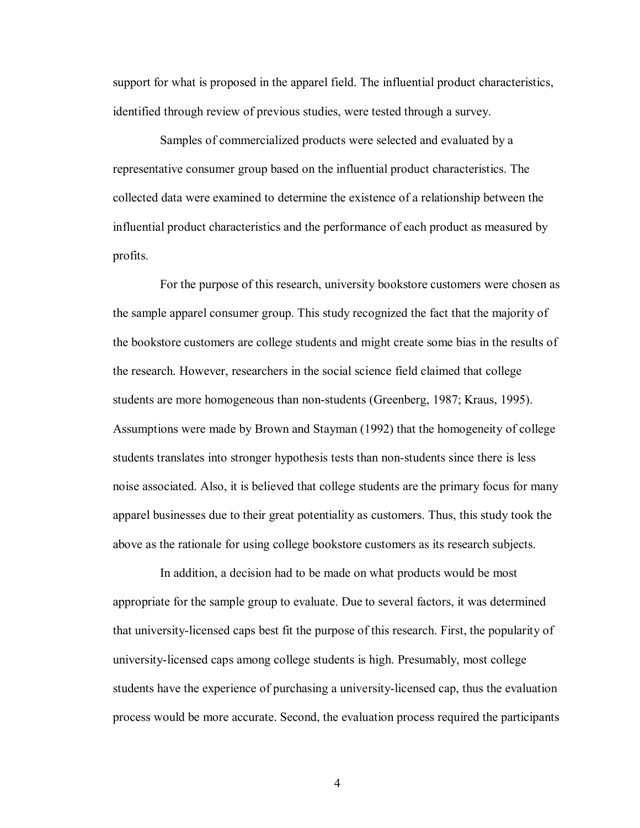support for what is proposed in the apparel field. The influential product characteristics, identified through review of previous studies, were tested through a survey.

Samples of commercialized products were selected and evaluated by a representative consumer group based on the influential product characteristics. The collected data were examined to determine the existence of a relationship between the influential product characteristics and the performance of each product as measured by profits.

For the purpose of this research, university bookstore customers were chosen as the sample apparel consumer group. This study recognized the fact that the majority of the bookstore customers are college students and might create some bias in the results of the research. However, researchers in the social science field claimed that college students are more homogeneous than non-students (Greenberg, 1987; Kraus, 1995). Assumptions were made by Brown and Stayman (1992) that the homogeneity of college students translates into stronger hypothesis tests than non-students since there is less noise associated. Also, it is believed that college students are the primary focus for many apparel businesses due to their great potentiality as customers. Thus, this study took the above as the rationale for using college bookstore customers as its research subjects.

In addition, a decision had to be made on what products would be most appropriate for the sample group to evaluate. Due to several factors, it was determined that university-licensed caps best fit the purpose of this research. First, the popularity of university-licensed caps among college students is high. Presumably, most college students have the experience of purchasing a university-licensed cap, thus the evaluation process would be more accurate. Second, the evaluation process required the participants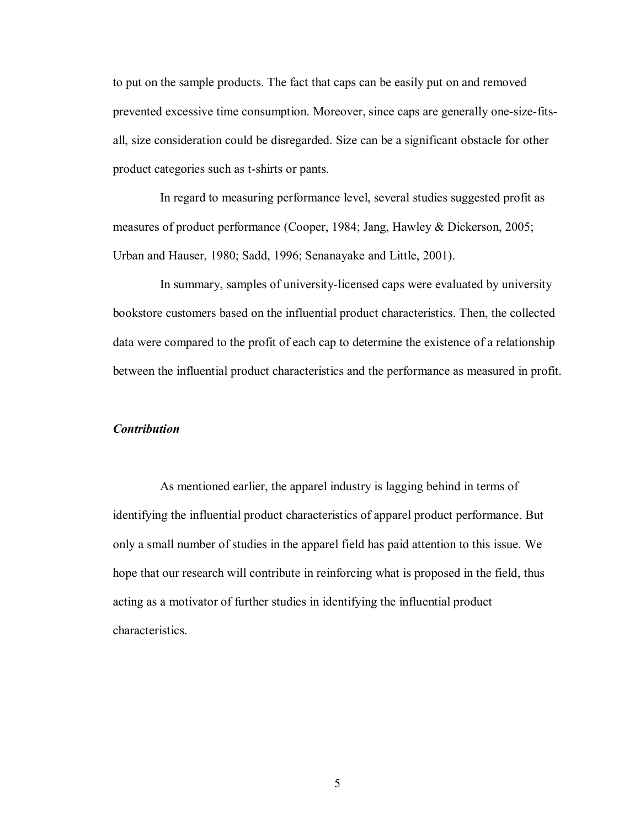to put on the sample products. The fact that caps can be easily put on and removed prevented excessive time consumption. Moreover, since caps are generally one-size-fitsall, size consideration could be disregarded. Size can be a significant obstacle for other product categories such as t-shirts or pants.

In regard to measuring performance level, several studies suggested profit as measures of product performance (Cooper, 1984; Jang, Hawley & Dickerson, 2005; Urban and Hauser, 1980; Sadd, 1996; Senanayake and Little, 2001).

In summary, samples of university-licensed caps were evaluated by university bookstore customers based on the influential product characteristics. Then, the collected data were compared to the profit of each cap to determine the existence of a relationship between the influential product characteristics and the performance as measured in profit.

#### *Contribution*

As mentioned earlier, the apparel industry is lagging behind in terms of identifying the influential product characteristics of apparel product performance. But only a small number of studies in the apparel field has paid attention to this issue. We hope that our research will contribute in reinforcing what is proposed in the field, thus acting as a motivator of further studies in identifying the influential product characteristics.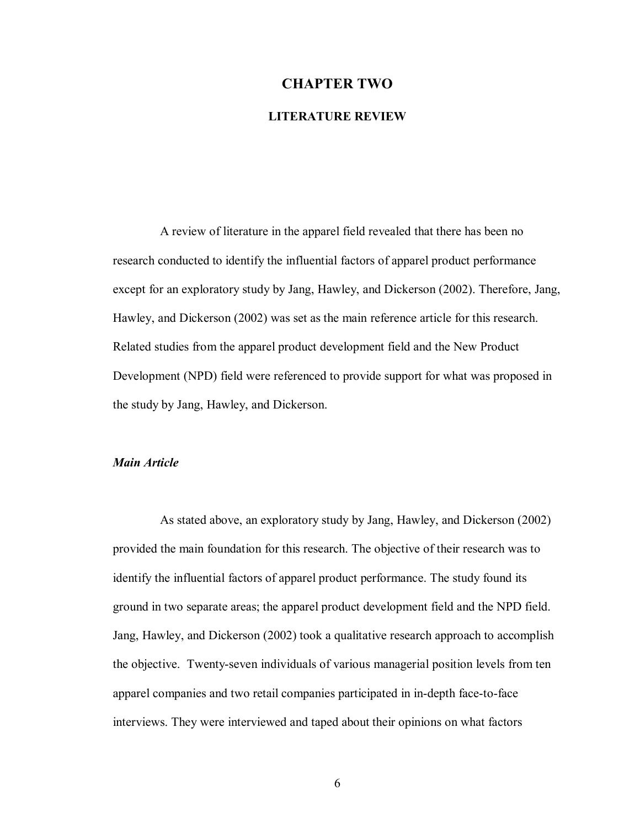#### **CHAPTER TWO**

#### **LITERATURE REVIEW**

A review of literature in the apparel field revealed that there has been no research conducted to identify the influential factors of apparel product performance except for an exploratory study by Jang, Hawley, and Dickerson (2002). Therefore, Jang, Hawley, and Dickerson (2002) was set as the main reference article for this research. Related studies from the apparel product development field and the New Product Development (NPD) field were referenced to provide support for what was proposed in the study by Jang, Hawley, and Dickerson.

#### *Main Article*

As stated above, an exploratory study by Jang, Hawley, and Dickerson (2002) provided the main foundation for this research. The objective of their research was to identify the influential factors of apparel product performance. The study found its ground in two separate areas; the apparel product development field and the NPD field. Jang, Hawley, and Dickerson (2002) took a qualitative research approach to accomplish the objective. Twenty-seven individuals of various managerial position levels from ten apparel companies and two retail companies participated in in-depth face-to-face interviews. They were interviewed and taped about their opinions on what factors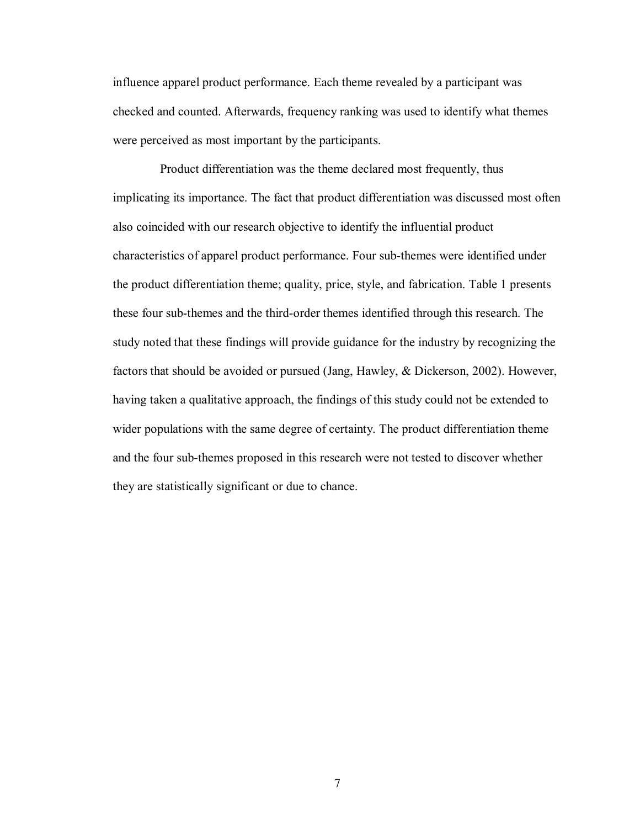influence apparel product performance. Each theme revealed by a participant was checked and counted. Afterwards, frequency ranking was used to identify what themes were perceived as most important by the participants.

Product differentiation was the theme declared most frequently, thus implicating its importance. The fact that product differentiation was discussed most often also coincided with our research objective to identify the influential product characteristics of apparel product performance. Four sub-themes were identified under the product differentiation theme; quality, price, style, and fabrication. Table 1 presents these four sub-themes and the third-order themes identified through this research. The study noted that these findings will provide guidance for the industry by recognizing the factors that should be avoided or pursued (Jang, Hawley, & Dickerson, 2002). However, having taken a qualitative approach, the findings of this study could not be extended to wider populations with the same degree of certainty. The product differentiation theme and the four sub-themes proposed in this research were not tested to discover whether they are statistically significant or due to chance.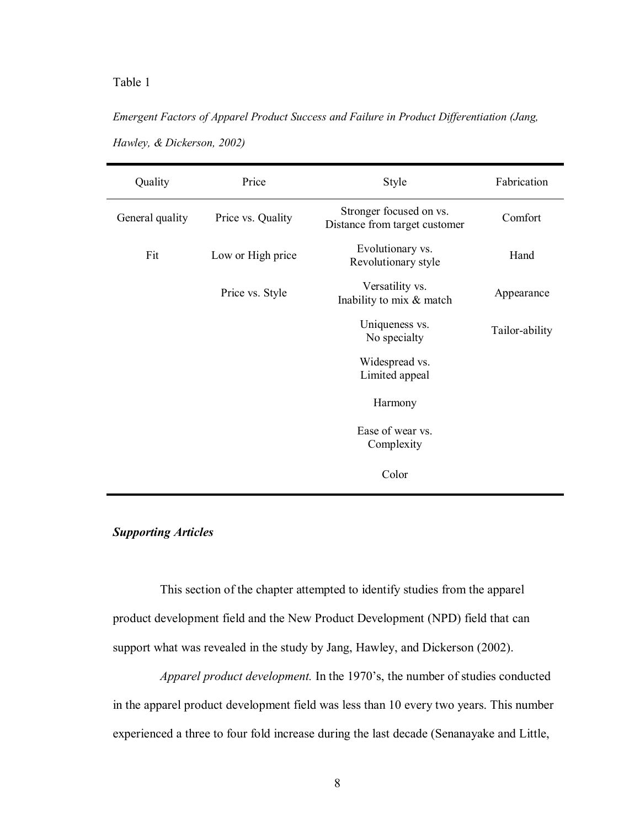## Table 1

# *Emergent Factors of Apparel Product Success and Failure in Product Differentiation (Jang, Hawley, & Dickerson, 2002)*

| Quality         | Price             | Style                                                    | Fabrication    |
|-----------------|-------------------|----------------------------------------------------------|----------------|
| General quality | Price vs. Quality | Stronger focused on vs.<br>Distance from target customer | Comfort        |
| Fit             | Low or High price | Evolutionary vs.<br>Revolutionary style                  | Hand           |
|                 | Price vs. Style   | Versatility vs.<br>Inability to mix & match              | Appearance     |
|                 |                   | Uniqueness vs.<br>No specialty                           | Tailor-ability |
|                 |                   | Widespread vs.<br>Limited appeal                         |                |
|                 |                   | Harmony                                                  |                |
|                 |                   | Ease of wear vs.<br>Complexity                           |                |
|                 |                   | Color                                                    |                |

## *Supporting Articles*

This section of the chapter attempted to identify studies from the apparel product development field and the New Product Development (NPD) field that can support what was revealed in the study by Jang, Hawley, and Dickerson (2002).

*Apparel product development.* In the 1970's, the number of studies conducted in the apparel product development field was less than 10 every two years. This number experienced a three to four fold increase during the last decade (Senanayake and Little,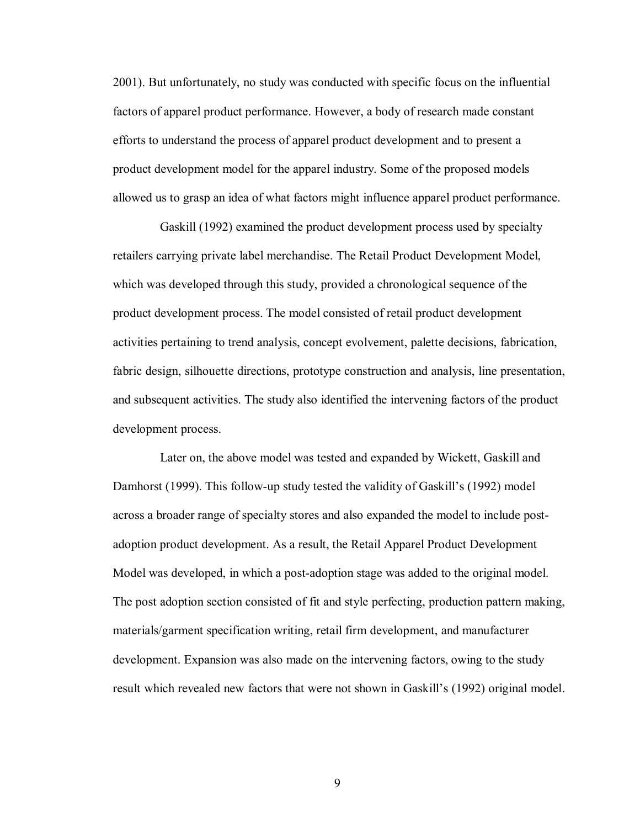2001). But unfortunately, no study was conducted with specific focus on the influential factors of apparel product performance. However, a body of research made constant efforts to understand the process of apparel product development and to present a product development model for the apparel industry. Some of the proposed models allowed us to grasp an idea of what factors might influence apparel product performance.

Gaskill (1992) examined the product development process used by specialty retailers carrying private label merchandise. The Retail Product Development Model, which was developed through this study, provided a chronological sequence of the product development process. The model consisted of retail product development activities pertaining to trend analysis, concept evolvement, palette decisions, fabrication, fabric design, silhouette directions, prototype construction and analysis, line presentation, and subsequent activities. The study also identified the intervening factors of the product development process.

Later on, the above model was tested and expanded by Wickett, Gaskill and Damhorst (1999). This follow-up study tested the validity of Gaskill's (1992) model across a broader range of specialty stores and also expanded the model to include postadoption product development. As a result, the Retail Apparel Product Development Model was developed, in which a post-adoption stage was added to the original model. The post adoption section consisted of fit and style perfecting, production pattern making, materials/garment specification writing, retail firm development, and manufacturer development. Expansion was also made on the intervening factors, owing to the study result which revealed new factors that were not shown in Gaskill's (1992) original model.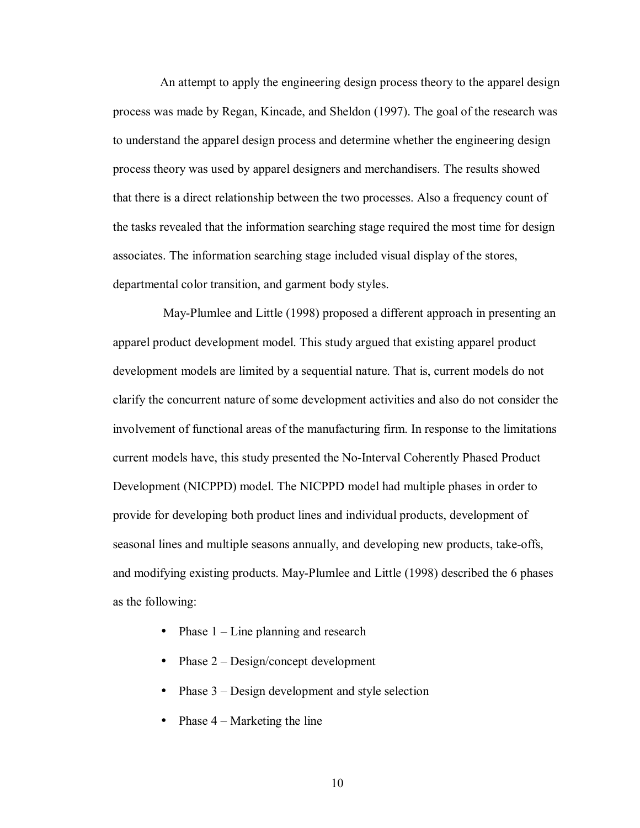An attempt to apply the engineering design process theory to the apparel design process was made by Regan, Kincade, and Sheldon (1997). The goal of the research was to understand the apparel design process and determine whether the engineering design process theory was used by apparel designers and merchandisers. The results showed that there is a direct relationship between the two processes. Also a frequency count of the tasks revealed that the information searching stage required the most time for design associates. The information searching stage included visual display of the stores, departmental color transition, and garment body styles.

 May-Plumlee and Little (1998) proposed a different approach in presenting an apparel product development model. This study argued that existing apparel product development models are limited by a sequential nature. That is, current models do not clarify the concurrent nature of some development activities and also do not consider the involvement of functional areas of the manufacturing firm. In response to the limitations current models have, this study presented the No-Interval Coherently Phased Product Development (NICPPD) model. The NICPPD model had multiple phases in order to provide for developing both product lines and individual products, development of seasonal lines and multiple seasons annually, and developing new products, take-offs, and modifying existing products. May-Plumlee and Little (1998) described the 6 phases as the following:

- Phase  $1 -$  Line planning and research
- Phase  $2 -$  Design/concept development
- Phase  $3 -$  Design development and style selection
- Phase  $4 -$  Marketing the line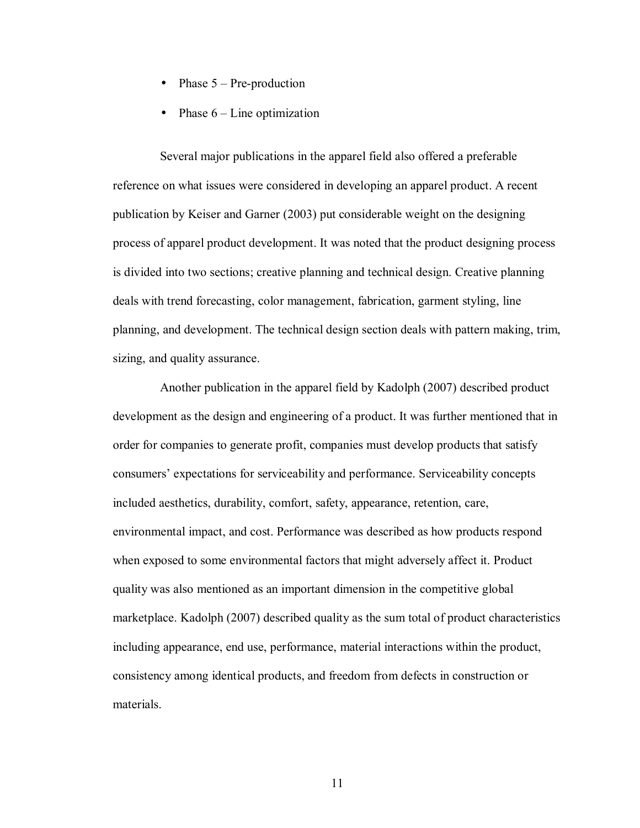- Phase  $5$  Pre-production
- Phase  $6$  Line optimization

Several major publications in the apparel field also offered a preferable reference on what issues were considered in developing an apparel product. A recent publication by Keiser and Garner (2003) put considerable weight on the designing process of apparel product development. It was noted that the product designing process is divided into two sections; creative planning and technical design. Creative planning deals with trend forecasting, color management, fabrication, garment styling, line planning, and development. The technical design section deals with pattern making, trim, sizing, and quality assurance.

Another publication in the apparel field by Kadolph (2007) described product development as the design and engineering of a product. It was further mentioned that in order for companies to generate profit, companies must develop products that satisfy consumersí expectations for serviceability and performance. Serviceability concepts included aesthetics, durability, comfort, safety, appearance, retention, care, environmental impact, and cost. Performance was described as how products respond when exposed to some environmental factors that might adversely affect it. Product quality was also mentioned as an important dimension in the competitive global marketplace. Kadolph (2007) described quality as the sum total of product characteristics including appearance, end use, performance, material interactions within the product, consistency among identical products, and freedom from defects in construction or materials.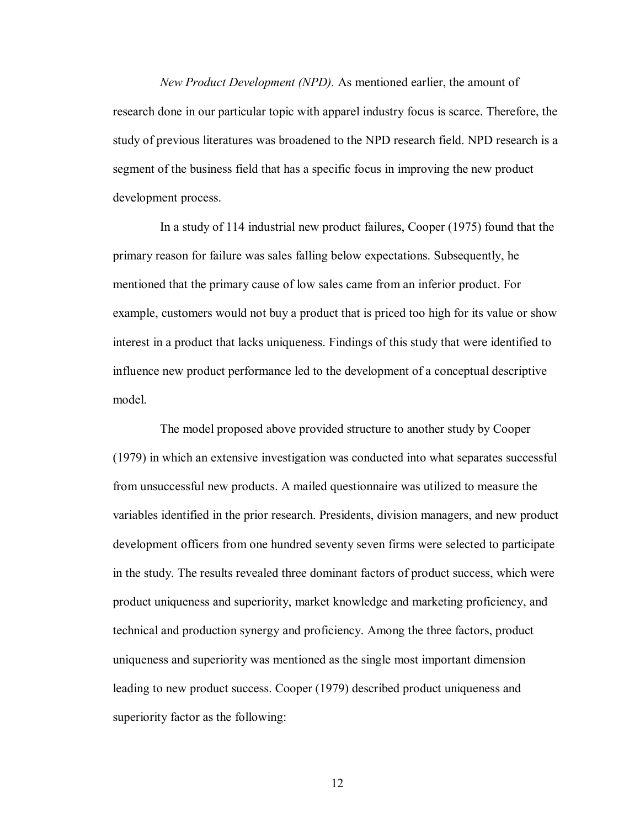*New Product Development (NPD).* As mentioned earlier, the amount of research done in our particular topic with apparel industry focus is scarce. Therefore, the study of previous literatures was broadened to the NPD research field. NPD research is a segment of the business field that has a specific focus in improving the new product development process.

In a study of 114 industrial new product failures, Cooper (1975) found that the primary reason for failure was sales falling below expectations. Subsequently, he mentioned that the primary cause of low sales came from an inferior product. For example, customers would not buy a product that is priced too high for its value or show interest in a product that lacks uniqueness. Findings of this study that were identified to influence new product performance led to the development of a conceptual descriptive model.

The model proposed above provided structure to another study by Cooper (1979) in which an extensive investigation was conducted into what separates successful from unsuccessful new products. A mailed questionnaire was utilized to measure the variables identified in the prior research. Presidents, division managers, and new product development officers from one hundred seventy seven firms were selected to participate in the study. The results revealed three dominant factors of product success, which were product uniqueness and superiority, market knowledge and marketing proficiency, and technical and production synergy and proficiency. Among the three factors, product uniqueness and superiority was mentioned as the single most important dimension leading to new product success. Cooper (1979) described product uniqueness and superiority factor as the following: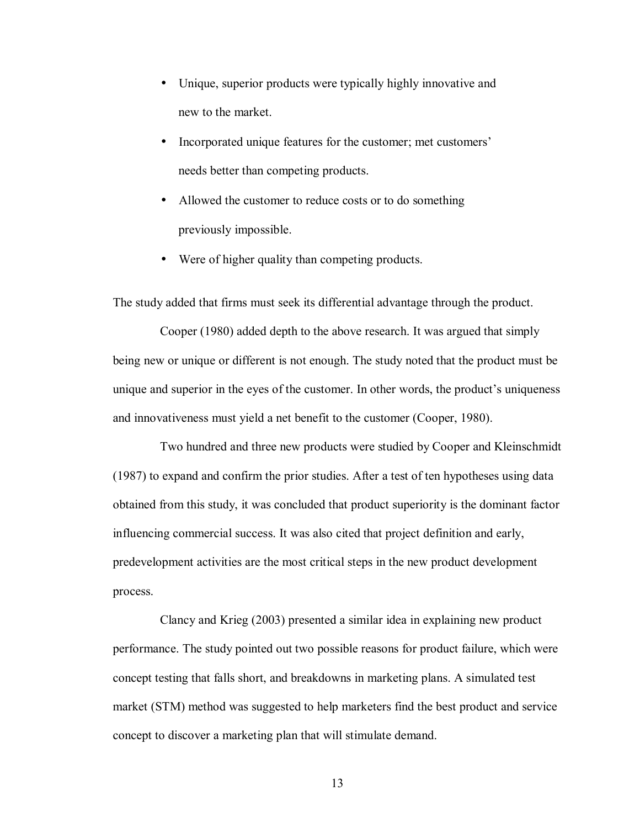- Unique, superior products were typically highly innovative and new to the market.
- Incorporated unique features for the customer; met customers' needs better than competing products.
- Allowed the customer to reduce costs or to do something previously impossible.
- Were of higher quality than competing products.

The study added that firms must seek its differential advantage through the product.

Cooper (1980) added depth to the above research. It was argued that simply being new or unique or different is not enough. The study noted that the product must be unique and superior in the eyes of the customer. In other words, the product's uniqueness and innovativeness must yield a net benefit to the customer (Cooper, 1980).

Two hundred and three new products were studied by Cooper and Kleinschmidt (1987) to expand and confirm the prior studies. After a test of ten hypotheses using data obtained from this study, it was concluded that product superiority is the dominant factor influencing commercial success. It was also cited that project definition and early, predevelopment activities are the most critical steps in the new product development process.

Clancy and Krieg (2003) presented a similar idea in explaining new product performance. The study pointed out two possible reasons for product failure, which were concept testing that falls short, and breakdowns in marketing plans. A simulated test market (STM) method was suggested to help marketers find the best product and service concept to discover a marketing plan that will stimulate demand.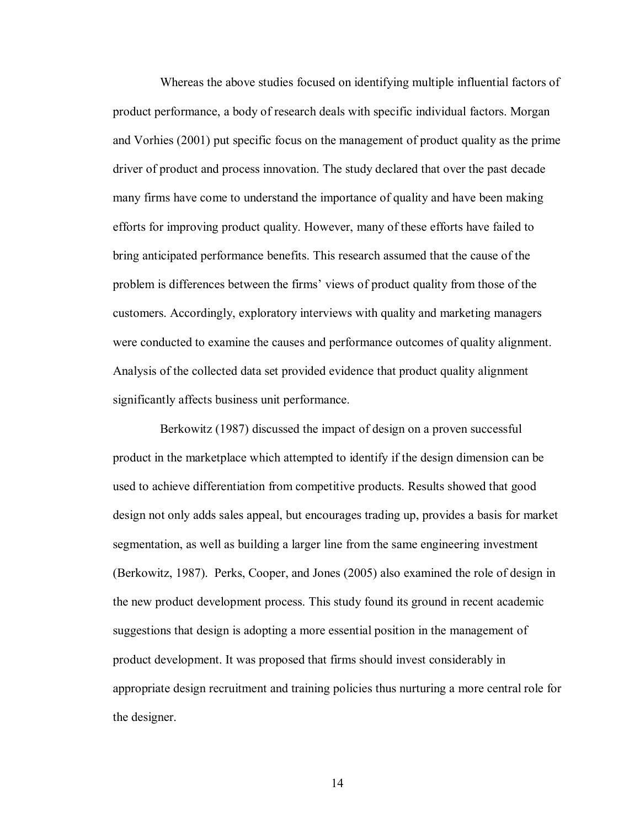Whereas the above studies focused on identifying multiple influential factors of product performance, a body of research deals with specific individual factors. Morgan and Vorhies (2001) put specific focus on the management of product quality as the prime driver of product and process innovation. The study declared that over the past decade many firms have come to understand the importance of quality and have been making efforts for improving product quality. However, many of these efforts have failed to bring anticipated performance benefits. This research assumed that the cause of the problem is differences between the firms' views of product quality from those of the customers. Accordingly, exploratory interviews with quality and marketing managers were conducted to examine the causes and performance outcomes of quality alignment. Analysis of the collected data set provided evidence that product quality alignment significantly affects business unit performance.

Berkowitz (1987) discussed the impact of design on a proven successful product in the marketplace which attempted to identify if the design dimension can be used to achieve differentiation from competitive products. Results showed that good design not only adds sales appeal, but encourages trading up, provides a basis for market segmentation, as well as building a larger line from the same engineering investment (Berkowitz, 1987). Perks, Cooper, and Jones (2005) also examined the role of design in the new product development process. This study found its ground in recent academic suggestions that design is adopting a more essential position in the management of product development. It was proposed that firms should invest considerably in appropriate design recruitment and training policies thus nurturing a more central role for the designer.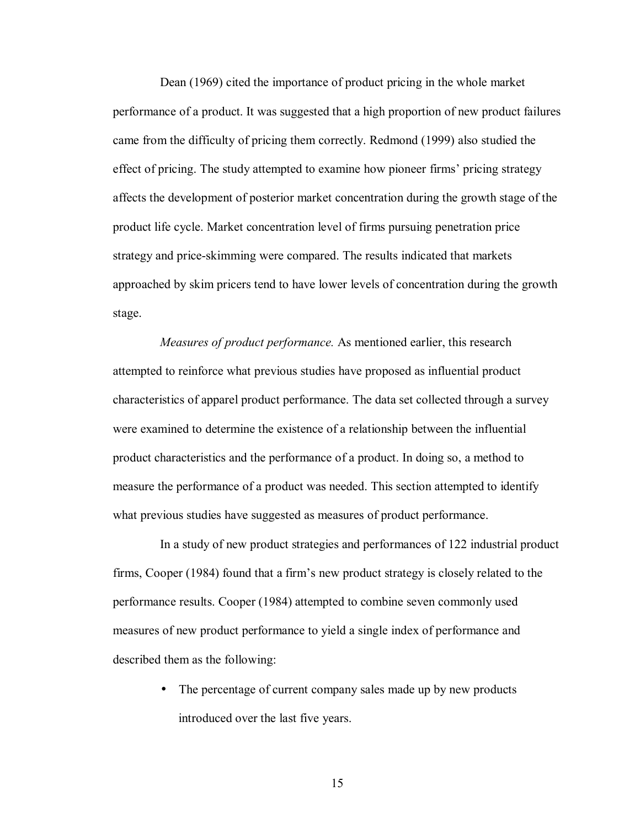Dean (1969) cited the importance of product pricing in the whole market performance of a product. It was suggested that a high proportion of new product failures came from the difficulty of pricing them correctly. Redmond (1999) also studied the effect of pricing. The study attempted to examine how pioneer firms' pricing strategy affects the development of posterior market concentration during the growth stage of the product life cycle. Market concentration level of firms pursuing penetration price strategy and price-skimming were compared. The results indicated that markets approached by skim pricers tend to have lower levels of concentration during the growth stage.

*Measures of product performance.* As mentioned earlier, this research attempted to reinforce what previous studies have proposed as influential product characteristics of apparel product performance. The data set collected through a survey were examined to determine the existence of a relationship between the influential product characteristics and the performance of a product. In doing so, a method to measure the performance of a product was needed. This section attempted to identify what previous studies have suggested as measures of product performance.

In a study of new product strategies and performances of 122 industrial product firms, Cooper (1984) found that a firm's new product strategy is closely related to the performance results. Cooper (1984) attempted to combine seven commonly used measures of new product performance to yield a single index of performance and described them as the following:

> • The percentage of current company sales made up by new products introduced over the last five years.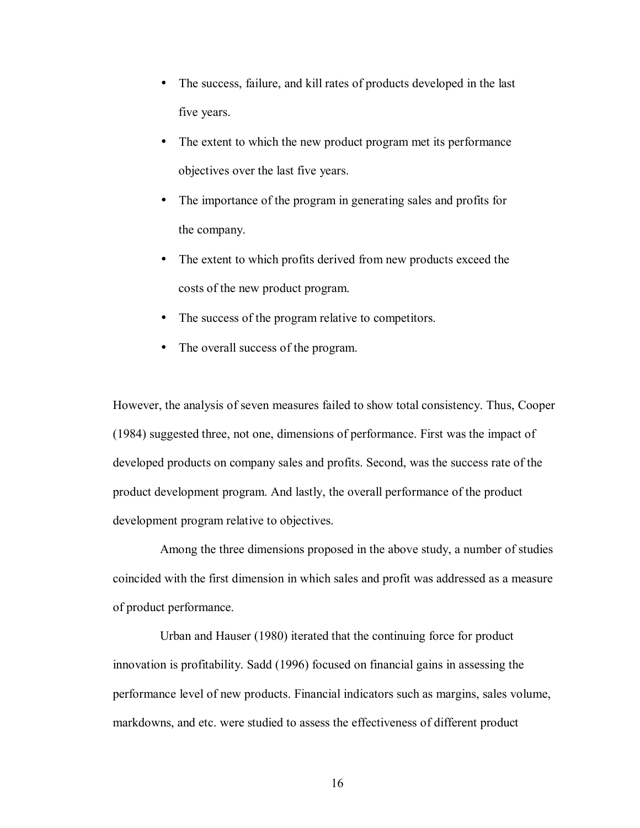- The success, failure, and kill rates of products developed in the last five years.
- The extent to which the new product program met its performance objectives over the last five years.
- The importance of the program in generating sales and profits for the company.
- The extent to which profits derived from new products exceed the costs of the new product program.
- The success of the program relative to competitors.
- The overall success of the program.

However, the analysis of seven measures failed to show total consistency. Thus, Cooper (1984) suggested three, not one, dimensions of performance. First was the impact of developed products on company sales and profits. Second, was the success rate of the product development program. And lastly, the overall performance of the product development program relative to objectives.

Among the three dimensions proposed in the above study, a number of studies coincided with the first dimension in which sales and profit was addressed as a measure of product performance.

Urban and Hauser (1980) iterated that the continuing force for product innovation is profitability. Sadd (1996) focused on financial gains in assessing the performance level of new products. Financial indicators such as margins, sales volume, markdowns, and etc. were studied to assess the effectiveness of different product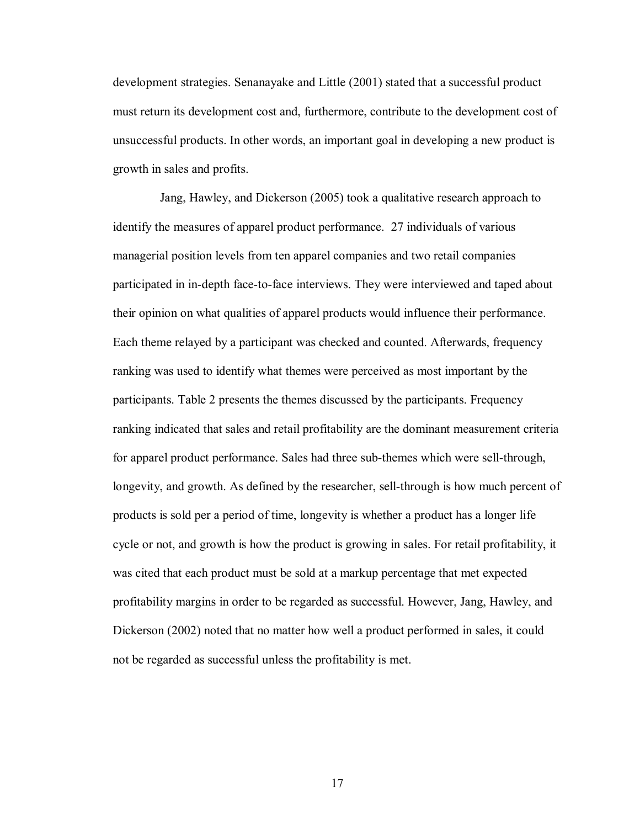development strategies. Senanayake and Little (2001) stated that a successful product must return its development cost and, furthermore, contribute to the development cost of unsuccessful products. In other words, an important goal in developing a new product is growth in sales and profits.

Jang, Hawley, and Dickerson (2005) took a qualitative research approach to identify the measures of apparel product performance. 27 individuals of various managerial position levels from ten apparel companies and two retail companies participated in in-depth face-to-face interviews. They were interviewed and taped about their opinion on what qualities of apparel products would influence their performance. Each theme relayed by a participant was checked and counted. Afterwards, frequency ranking was used to identify what themes were perceived as most important by the participants. Table 2 presents the themes discussed by the participants. Frequency ranking indicated that sales and retail profitability are the dominant measurement criteria for apparel product performance. Sales had three sub-themes which were sell-through, longevity, and growth. As defined by the researcher, sell-through is how much percent of products is sold per a period of time, longevity is whether a product has a longer life cycle or not, and growth is how the product is growing in sales. For retail profitability, it was cited that each product must be sold at a markup percentage that met expected profitability margins in order to be regarded as successful. However, Jang, Hawley, and Dickerson (2002) noted that no matter how well a product performed in sales, it could not be regarded as successful unless the profitability is met.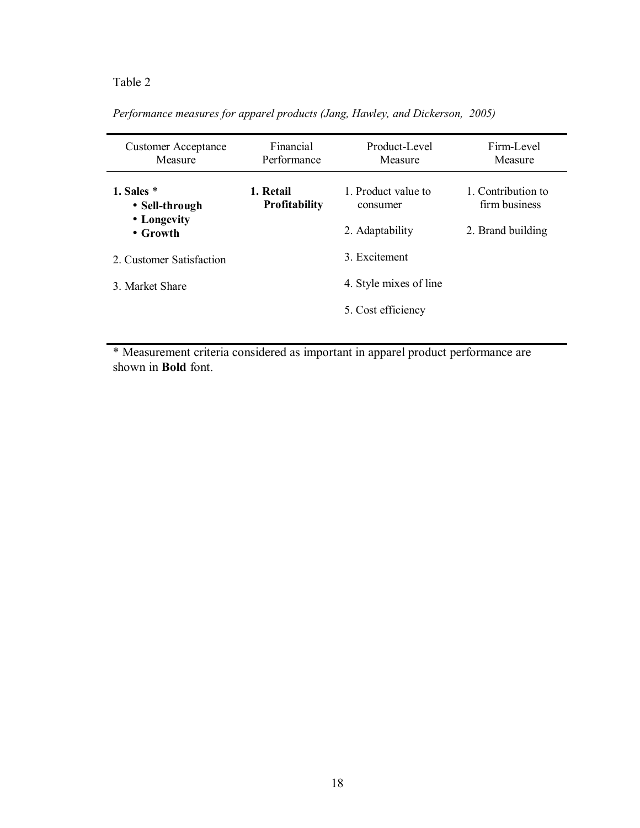## Table 2

| Performance measures for apparel products (Jang, Hawley, and Dickerson, 2005) |  |  |  |
|-------------------------------------------------------------------------------|--|--|--|
|-------------------------------------------------------------------------------|--|--|--|

| <b>Customer Acceptance</b><br>Measure | Financial<br>Performance          | Product-Level<br>Measure       | Firm-Level<br>Measure               |
|---------------------------------------|-----------------------------------|--------------------------------|-------------------------------------|
| 1. Sales $*$<br>• Sell-through        | 1. Retail<br><b>Profitability</b> | 1 Product value to<br>consumer | 1. Contribution to<br>firm business |
| • Longevity<br>$\bullet$ Growth       |                                   | 2. Adaptability                | 2. Brand building                   |
| 2. Customer Satisfaction              |                                   | 3. Excitement                  |                                     |
| 3 Market Share                        |                                   | 4. Style mixes of line         |                                     |
|                                       |                                   | 5. Cost efficiency             |                                     |

\* Measurement criteria considered as important in apparel product performance are shown in **Bold** font.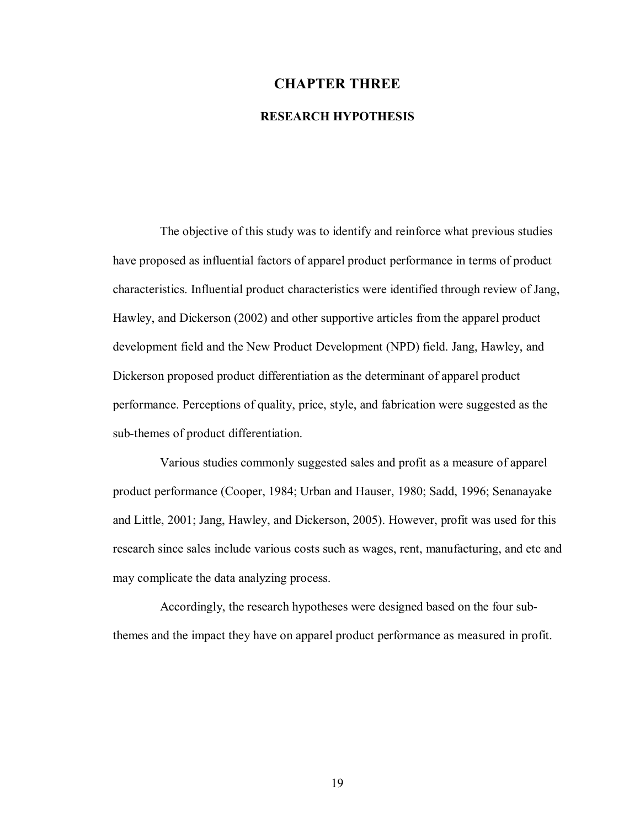# **CHAPTER THREE RESEARCH HYPOTHESIS**

The objective of this study was to identify and reinforce what previous studies have proposed as influential factors of apparel product performance in terms of product characteristics. Influential product characteristics were identified through review of Jang, Hawley, and Dickerson (2002) and other supportive articles from the apparel product development field and the New Product Development (NPD) field. Jang, Hawley, and Dickerson proposed product differentiation as the determinant of apparel product performance. Perceptions of quality, price, style, and fabrication were suggested as the sub-themes of product differentiation.

Various studies commonly suggested sales and profit as a measure of apparel product performance (Cooper, 1984; Urban and Hauser, 1980; Sadd, 1996; Senanayake and Little, 2001; Jang, Hawley, and Dickerson, 2005). However, profit was used for this research since sales include various costs such as wages, rent, manufacturing, and etc and may complicate the data analyzing process.

Accordingly, the research hypotheses were designed based on the four subthemes and the impact they have on apparel product performance as measured in profit.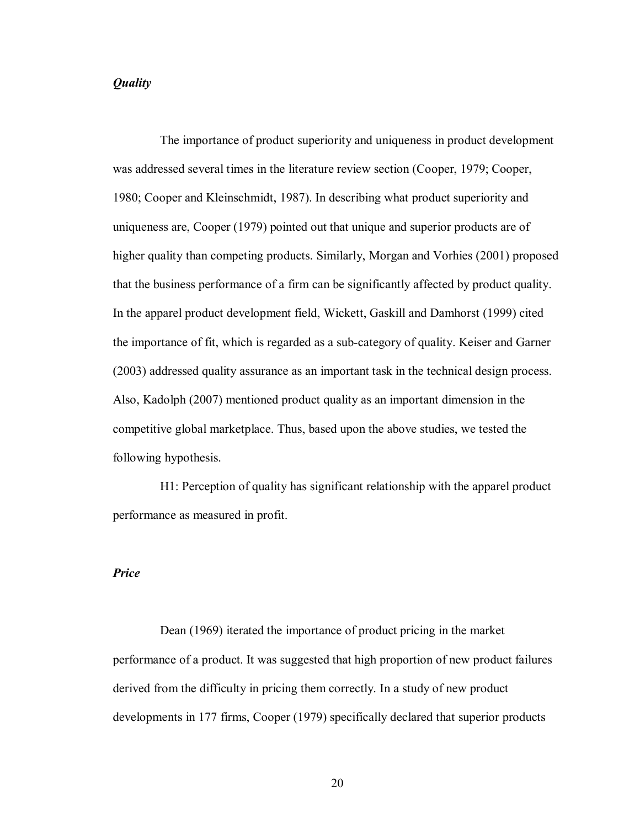#### *Quality*

The importance of product superiority and uniqueness in product development was addressed several times in the literature review section (Cooper, 1979; Cooper, 1980; Cooper and Kleinschmidt, 1987). In describing what product superiority and uniqueness are, Cooper (1979) pointed out that unique and superior products are of higher quality than competing products. Similarly, Morgan and Vorhies (2001) proposed that the business performance of a firm can be significantly affected by product quality. In the apparel product development field, Wickett, Gaskill and Damhorst (1999) cited the importance of fit, which is regarded as a sub-category of quality. Keiser and Garner (2003) addressed quality assurance as an important task in the technical design process. Also, Kadolph (2007) mentioned product quality as an important dimension in the competitive global marketplace. Thus, based upon the above studies, we tested the following hypothesis.

H1: Perception of quality has significant relationship with the apparel product performance as measured in profit.

#### *Price*

Dean (1969) iterated the importance of product pricing in the market performance of a product. It was suggested that high proportion of new product failures derived from the difficulty in pricing them correctly. In a study of new product developments in 177 firms, Cooper (1979) specifically declared that superior products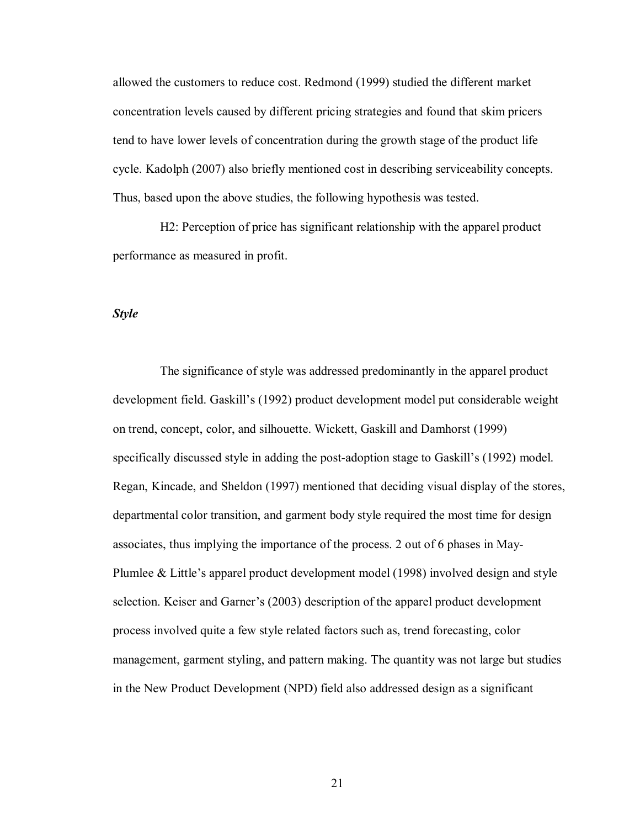allowed the customers to reduce cost. Redmond (1999) studied the different market concentration levels caused by different pricing strategies and found that skim pricers tend to have lower levels of concentration during the growth stage of the product life cycle. Kadolph (2007) also briefly mentioned cost in describing serviceability concepts. Thus, based upon the above studies, the following hypothesis was tested.

H2: Perception of price has significant relationship with the apparel product performance as measured in profit.

#### *Style*

The significance of style was addressed predominantly in the apparel product development field. Gaskillís (1992) product development model put considerable weight on trend, concept, color, and silhouette. Wickett, Gaskill and Damhorst (1999) specifically discussed style in adding the post-adoption stage to Gaskill's (1992) model. Regan, Kincade, and Sheldon (1997) mentioned that deciding visual display of the stores, departmental color transition, and garment body style required the most time for design associates, thus implying the importance of the process. 2 out of 6 phases in May-Plumlee  $& Little's$  apparel product development model (1998) involved design and style selection. Keiser and Garner's (2003) description of the apparel product development process involved quite a few style related factors such as, trend forecasting, color management, garment styling, and pattern making. The quantity was not large but studies in the New Product Development (NPD) field also addressed design as a significant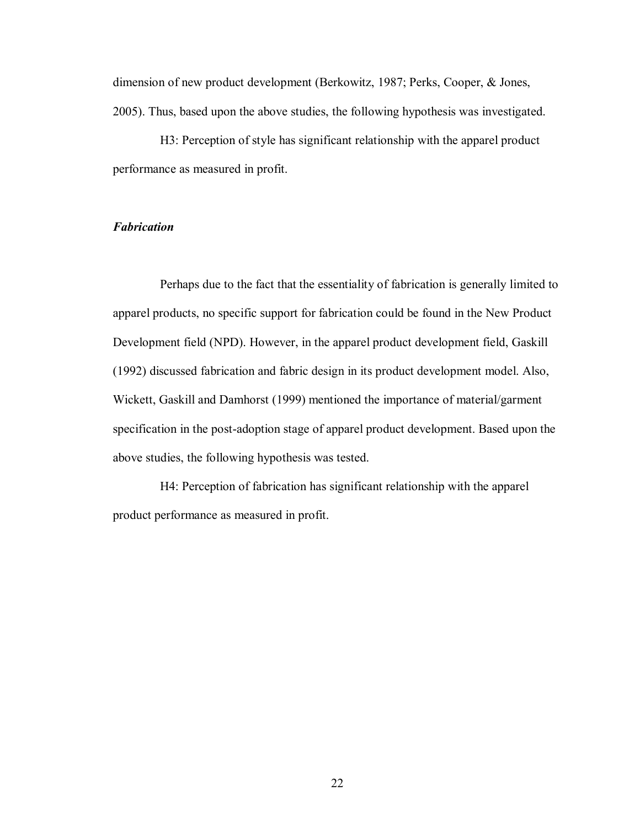dimension of new product development (Berkowitz, 1987; Perks, Cooper, & Jones, 2005). Thus, based upon the above studies, the following hypothesis was investigated.

H3: Perception of style has significant relationship with the apparel product performance as measured in profit.

## *Fabrication*

Perhaps due to the fact that the essentiality of fabrication is generally limited to apparel products, no specific support for fabrication could be found in the New Product Development field (NPD). However, in the apparel product development field, Gaskill (1992) discussed fabrication and fabric design in its product development model. Also, Wickett, Gaskill and Damhorst (1999) mentioned the importance of material/garment specification in the post-adoption stage of apparel product development. Based upon the above studies, the following hypothesis was tested.

H4: Perception of fabrication has significant relationship with the apparel product performance as measured in profit.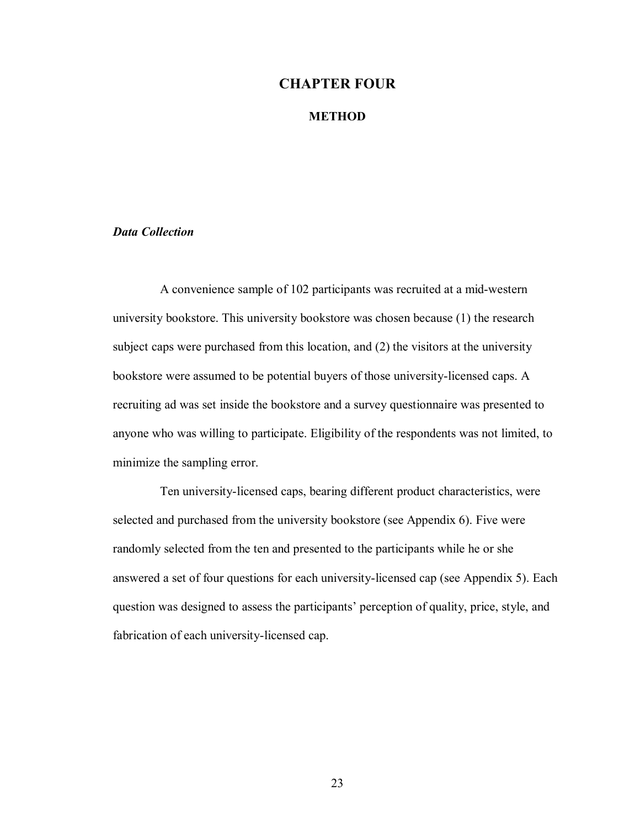## **CHAPTER FOUR**

#### **METHOD**

## *Data Collection*

A convenience sample of 102 participants was recruited at a mid-western university bookstore. This university bookstore was chosen because (1) the research subject caps were purchased from this location, and (2) the visitors at the university bookstore were assumed to be potential buyers of those university-licensed caps. A recruiting ad was set inside the bookstore and a survey questionnaire was presented to anyone who was willing to participate. Eligibility of the respondents was not limited, to minimize the sampling error.

Ten university-licensed caps, bearing different product characteristics, were selected and purchased from the university bookstore (see Appendix 6). Five were randomly selected from the ten and presented to the participants while he or she answered a set of four questions for each university-licensed cap (see Appendix 5). Each question was designed to assess the participants' perception of quality, price, style, and fabrication of each university-licensed cap.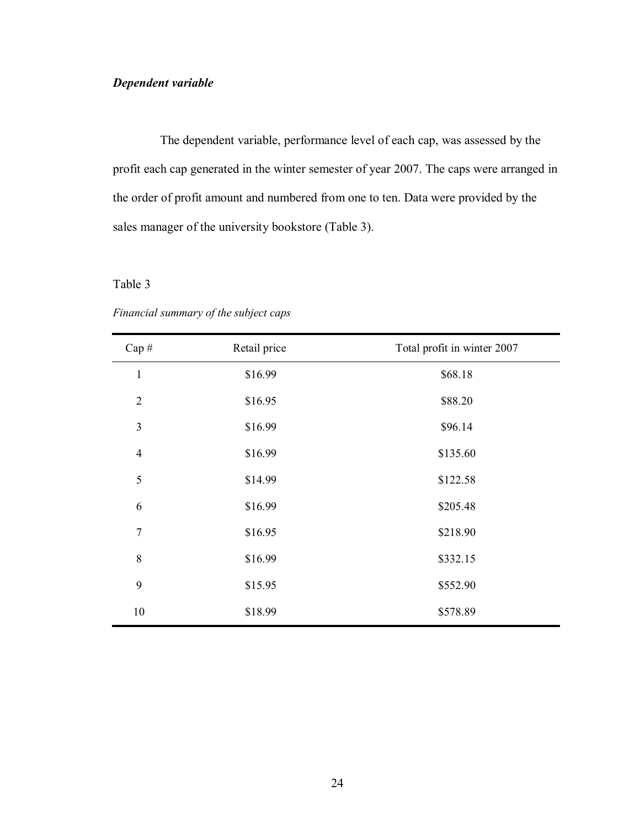## *Dependent variable*

The dependent variable, performance level of each cap, was assessed by the profit each cap generated in the winter semester of year 2007. The caps were arranged in the order of profit amount and numbered from one to ten. Data were provided by the sales manager of the university bookstore (Table 3).

## Table 3

| Cap#           | Retail price | Total profit in winter 2007 |
|----------------|--------------|-----------------------------|
| $\mathbf{1}$   | \$16.99      | \$68.18                     |
| $\overline{2}$ | \$16.95      | \$88.20                     |
| 3              | \$16.99      | \$96.14                     |
| $\overline{4}$ | \$16.99      | \$135.60                    |
| 5              | \$14.99      | \$122.58                    |
| 6              | \$16.99      | \$205.48                    |
| $\overline{7}$ | \$16.95      | \$218.90                    |
| $\,8\,$        | \$16.99      | \$332.15                    |
| 9              | \$15.95      | \$552.90                    |
| 10             | \$18.99      | \$578.89                    |

*Financial summary of the subject caps*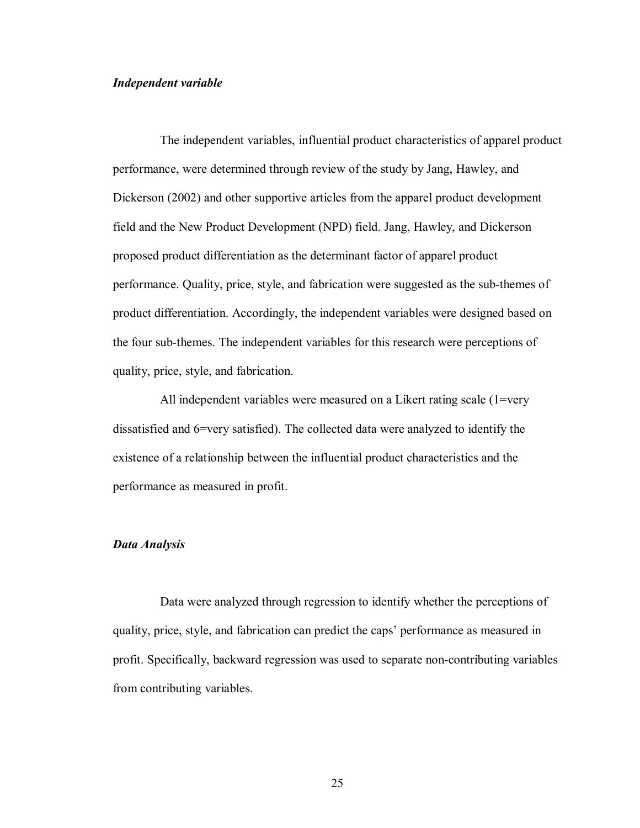#### *Independent variable*

The independent variables, influential product characteristics of apparel product performance, were determined through review of the study by Jang, Hawley, and Dickerson (2002) and other supportive articles from the apparel product development field and the New Product Development (NPD) field. Jang, Hawley, and Dickerson proposed product differentiation as the determinant factor of apparel product performance. Quality, price, style, and fabrication were suggested as the sub-themes of product differentiation. Accordingly, the independent variables were designed based on the four sub-themes. The independent variables for this research were perceptions of quality, price, style, and fabrication.

All independent variables were measured on a Likert rating scale (1=very dissatisfied and 6=very satisfied). The collected data were analyzed to identify the existence of a relationship between the influential product characteristics and the performance as measured in profit.

#### *Data Analysis*

Data were analyzed through regression to identify whether the perceptions of quality, price, style, and fabrication can predict the caps' performance as measured in profit. Specifically, backward regression was used to separate non-contributing variables from contributing variables.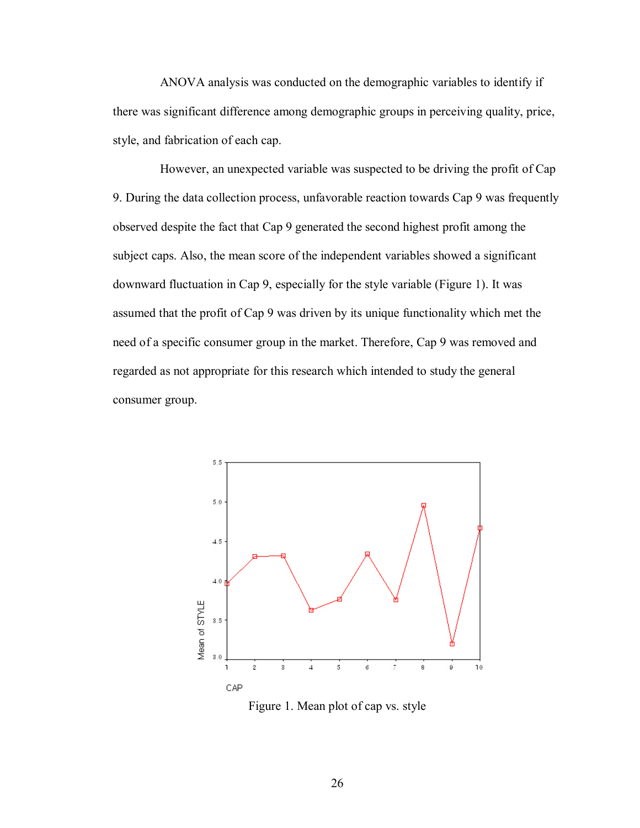ANOVA analysis was conducted on the demographic variables to identify if there was significant difference among demographic groups in perceiving quality, price, style, and fabrication of each cap.

However, an unexpected variable was suspected to be driving the profit of Cap 9. During the data collection process, unfavorable reaction towards Cap 9 was frequently observed despite the fact that Cap 9 generated the second highest profit among the subject caps. Also, the mean score of the independent variables showed a significant downward fluctuation in Cap 9, especially for the style variable (Figure 1). It was assumed that the profit of Cap 9 was driven by its unique functionality which met the need of a specific consumer group in the market. Therefore, Cap 9 was removed and regarded as not appropriate for this research which intended to study the general consumer group.



Figure 1. Mean plot of cap vs. style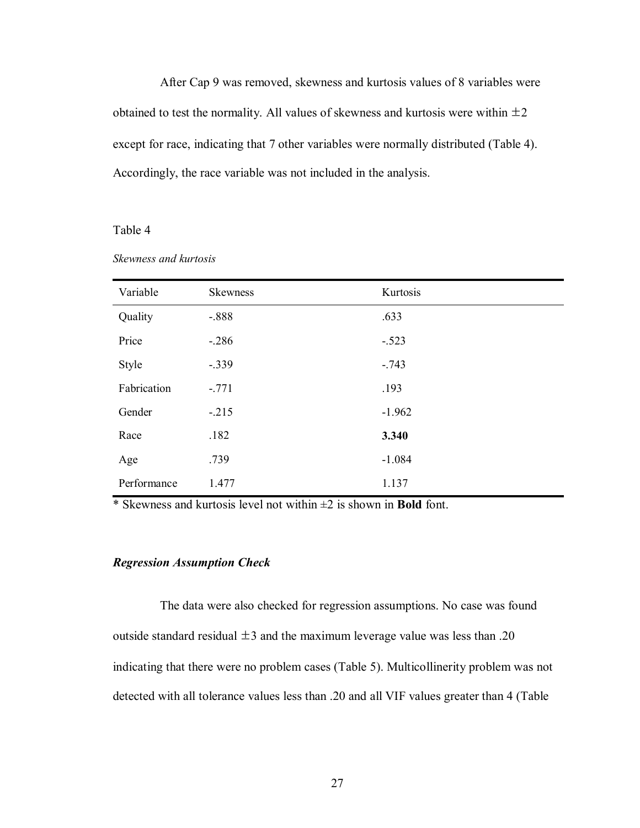After Cap 9 was removed, skewness and kurtosis values of 8 variables were obtained to test the normality. All values of skewness and kurtosis were within  $\pm 2$ except for race, indicating that 7 other variables were normally distributed (Table 4). Accordingly, the race variable was not included in the analysis.

#### Table 4

| Variable    | <b>Skewness</b> | Kurtosis |
|-------------|-----------------|----------|
| Quality     | $-.888$         | .633     |
| Price       | $-.286$         | $-.523$  |
| Style       | $-.339$         | $-.743$  |
| Fabrication | $-.771$         | .193     |
| Gender      | $-215$          | $-1.962$ |
| Race        | .182            | 3.340    |
| Age         | .739            | $-1.084$ |
| Performance | 1.477           | 1.137    |

*Skewness and kurtosis* 

\* Skewness and kurtosis level not within ±2 is shown in **Bold** font.

#### *Regression Assumption Check*

The data were also checked for regression assumptions. No case was found outside standard residual  $\pm 3$  and the maximum leverage value was less than .20 indicating that there were no problem cases (Table 5). Multicollinerity problem was not detected with all tolerance values less than .20 and all VIF values greater than 4 (Table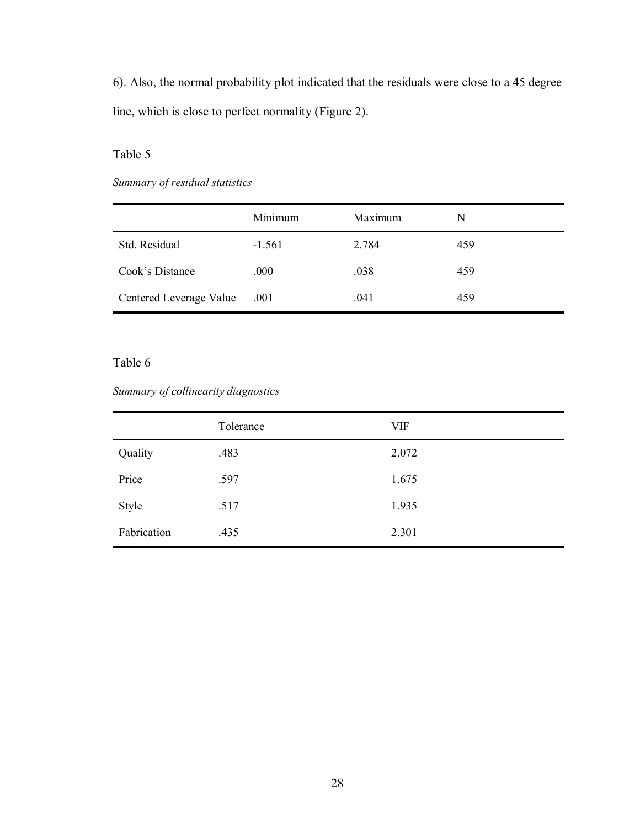6). Also, the normal probability plot indicated that the residuals were close to a 45 degree line, which is close to perfect normality (Figure 2).

## Table 5

## *Summary of residual statistics*

|                         | Minimum  | Maximum | N   |
|-------------------------|----------|---------|-----|
| Std. Residual           | $-1.561$ | 2.784   | 459 |
| Cook's Distance         | .000     | .038    | 459 |
| Centered Leverage Value | .001     | .041    | 459 |

## Table 6

## *Summary of collinearity diagnostics*

|             | Tolerance | VIF   |
|-------------|-----------|-------|
| Quality     | .483      | 2.072 |
| Price       | .597      | 1.675 |
| Style       | .517      | 1.935 |
| Fabrication | .435      | 2.301 |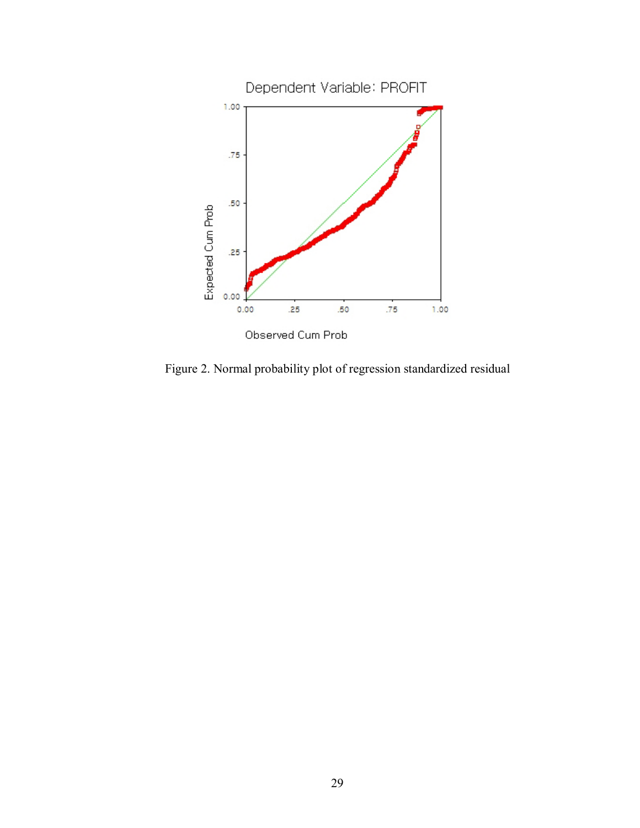

Figure 2. Normal probability plot of regression standardized residual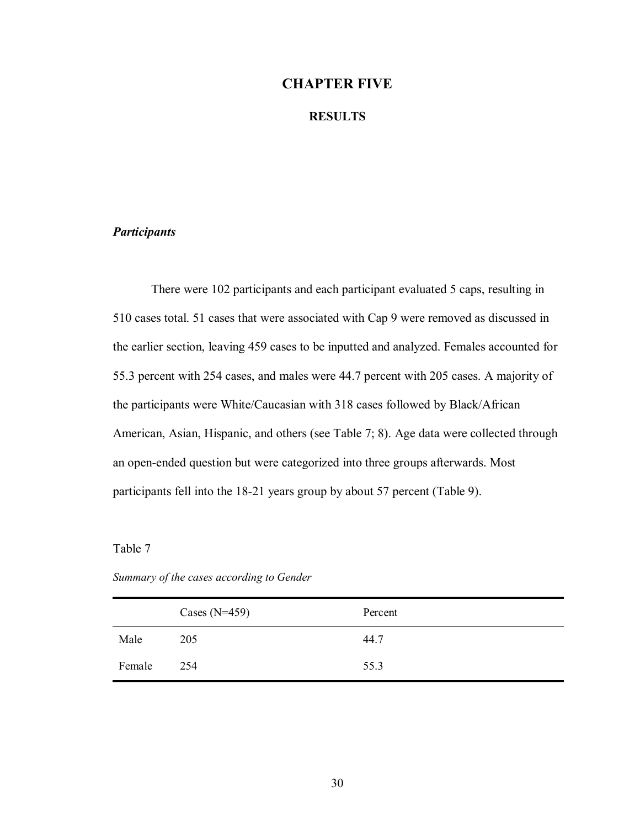## **CHAPTER FIVE**

#### **RESULTS**

## *Participants*

There were 102 participants and each participant evaluated 5 caps, resulting in 510 cases total. 51 cases that were associated with Cap 9 were removed as discussed in the earlier section, leaving 459 cases to be inputted and analyzed. Females accounted for 55.3 percent with 254 cases, and males were 44.7 percent with 205 cases. A majority of the participants were White/Caucasian with 318 cases followed by Black/African American, Asian, Hispanic, and others (see Table 7; 8). Age data were collected through an open-ended question but were categorized into three groups afterwards. Most participants fell into the 18-21 years group by about 57 percent (Table 9).

## Table 7

|  | Summary of the cases according to Gender |  |
|--|------------------------------------------|--|

|        | Cases $(N=459)$ | Percent |
|--------|-----------------|---------|
| Male   | 205             | 44.7    |
| Female | 254             | 55.3    |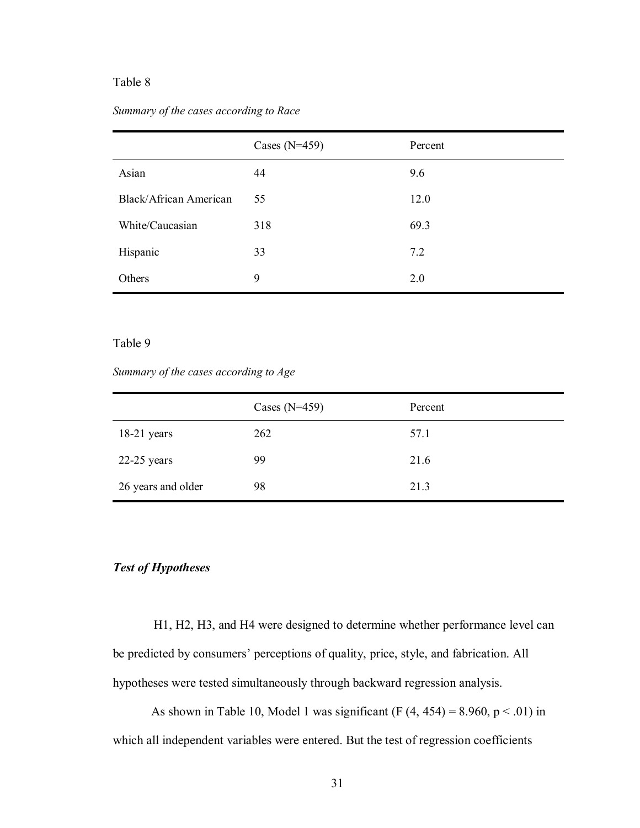## Table 8

#### *Summary of the cases according to Race*

|                        | Cases $(N=459)$ | Percent |
|------------------------|-----------------|---------|
| Asian                  | 44              | 9.6     |
| Black/African American | 55              | 12.0    |
| White/Caucasian        | 318             | 69.3    |
| Hispanic               | 33              | 7.2     |
| Others                 | 9               | 2.0     |

#### Table 9

#### *Summary of the cases according to Age*

|                    | Cases $(N=459)$ | Percent |
|--------------------|-----------------|---------|
| $18-21$ years      | 262             | 57.1    |
| $22-25$ years      | 99              | 21.6    |
| 26 years and older | 98              | 21.3    |

## *Test of Hypotheses*

H1, H2, H3, and H4 were designed to determine whether performance level can be predicted by consumers' perceptions of quality, price, style, and fabrication. All hypotheses were tested simultaneously through backward regression analysis.

As shown in Table 10, Model 1 was significant (F  $(4, 454) = 8.960$ , p < .01) in which all independent variables were entered. But the test of regression coefficients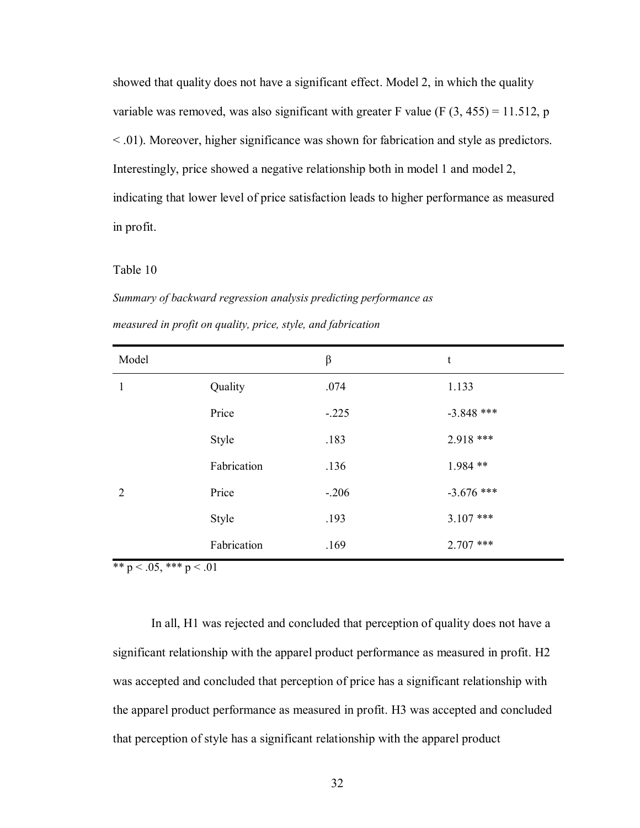showed that quality does not have a significant effect. Model 2, in which the quality variable was removed, was also significant with greater F value (F  $(3, 455) = 11.512$ , p < .01). Moreover, higher significance was shown for fabrication and style as predictors. Interestingly, price showed a negative relationship both in model 1 and model 2, indicating that lower level of price satisfaction leads to higher performance as measured in profit.

#### Table 10

*Summary of backward regression analysis predicting performance as measured in profit on quality, price, style, and fabrication* 

| Model          |             | β       | t            |
|----------------|-------------|---------|--------------|
| 1              | Quality     | .074    | 1.133        |
|                | Price       | $-.225$ | $-3.848$ *** |
|                | Style       | .183    | 2.918 ***    |
|                | Fabrication | .136    | 1.984 **     |
| $\overline{2}$ | Price       | $-.206$ | $-3.676$ *** |
|                | Style       | .193    | $3.107$ ***  |
|                | Fabrication | .169    | $2.707$ ***  |

\*\*  $p < .05$ , \*\*\*  $p < .01$ 

In all, H1 was rejected and concluded that perception of quality does not have a significant relationship with the apparel product performance as measured in profit. H2 was accepted and concluded that perception of price has a significant relationship with the apparel product performance as measured in profit. H3 was accepted and concluded that perception of style has a significant relationship with the apparel product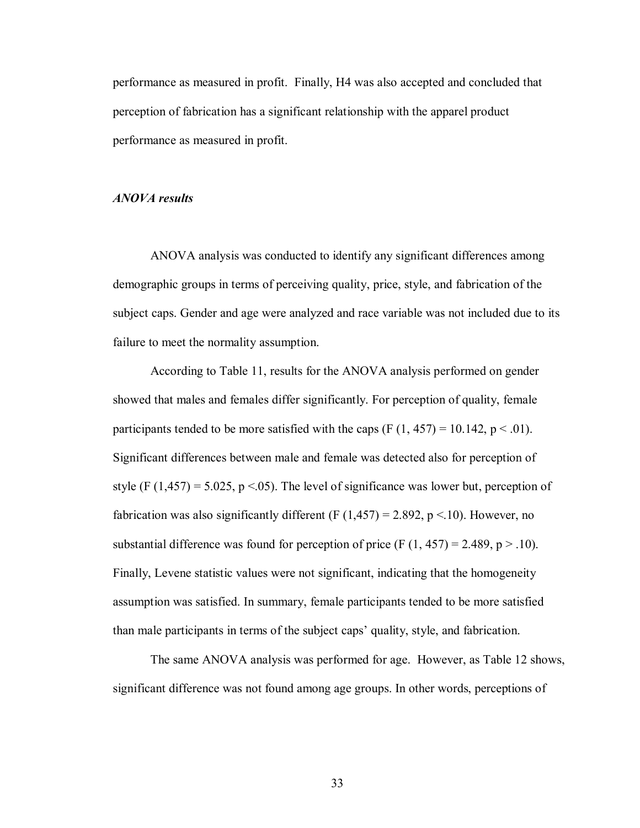performance as measured in profit. Finally, H4 was also accepted and concluded that perception of fabrication has a significant relationship with the apparel product performance as measured in profit.

#### *ANOVA results*

ANOVA analysis was conducted to identify any significant differences among demographic groups in terms of perceiving quality, price, style, and fabrication of the subject caps. Gender and age were analyzed and race variable was not included due to its failure to meet the normality assumption.

According to Table 11, results for the ANOVA analysis performed on gender showed that males and females differ significantly. For perception of quality, female participants tended to be more satisfied with the caps  $(F (1, 457) = 10.142, p < .01)$ . Significant differences between male and female was detected also for perception of style (F  $(1,457) = 5.025$ , p < 05). The level of significance was lower but, perception of fabrication was also significantly different (F  $(1,457) = 2.892$ , p < 10). However, no substantial difference was found for perception of price (F  $(1, 457) = 2.489$ , p  $> 0.10$ ). Finally, Levene statistic values were not significant, indicating that the homogeneity assumption was satisfied. In summary, female participants tended to be more satisfied than male participants in terms of the subject caps' quality, style, and fabrication.

The same ANOVA analysis was performed for age. However, as Table 12 shows, significant difference was not found among age groups. In other words, perceptions of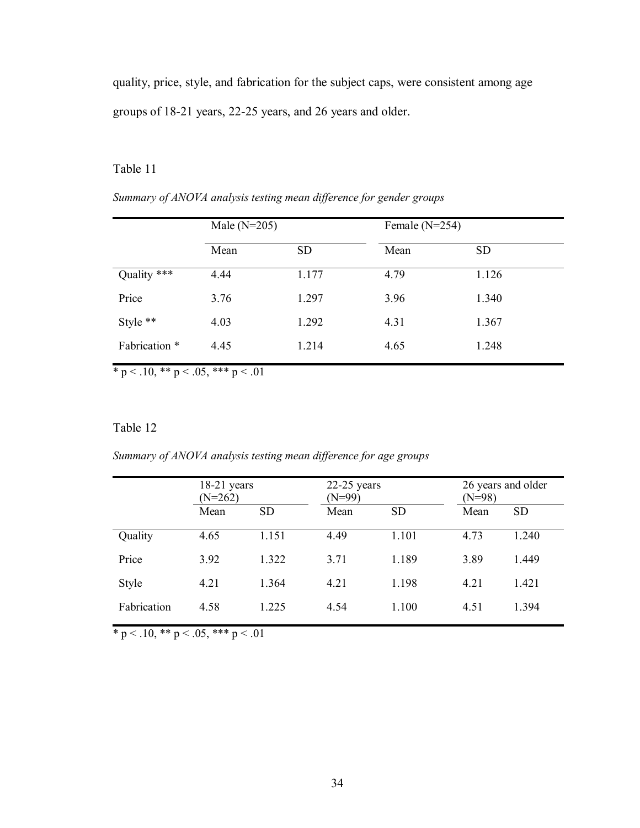quality, price, style, and fabrication for the subject caps, were consistent among age groups of 18-21 years, 22-25 years, and 26 years and older.

## Table 11

|               | Male $(N=205)$ |           | Female $(N=254)$ |           |  |
|---------------|----------------|-----------|------------------|-----------|--|
|               | Mean           | <b>SD</b> | Mean             | <b>SD</b> |  |
| Quality ***   | 4.44           | 1.177     | 4.79             | 1.126     |  |
| Price         | 3.76           | 1.297     | 3.96             | 1.340     |  |
| Style **      | 4.03           | 1.292     | 4.31             | 1.367     |  |
| Fabrication * | 4.45           | 1.214     | 4.65             | 1.248     |  |

*Summary of ANOVA analysis testing mean difference for gender groups* 

\* p < .10, \*\* p < .05, \*\*\* p < .01

## Table 12

*Summary of ANOVA analysis testing mean difference for age groups* 

|             | $18-21$ years<br>$(N=262)$ |           | $22-25$ years<br>$(N=99)$ |           | 26 years and older<br>$(N=98)$ |           |
|-------------|----------------------------|-----------|---------------------------|-----------|--------------------------------|-----------|
|             | Mean                       | <b>SD</b> | Mean                      | <b>SD</b> | Mean                           | <b>SD</b> |
| Quality     | 4.65                       | 1.151     | 4.49                      | 1.101     | 4.73                           | 1.240     |
| Price       | 3.92                       | 1.322     | 3.71                      | 1.189     | 3.89                           | 1.449     |
| Style       | 4.21                       | 1.364     | 4.21                      | 1.198     | 4.21                           | 1.421     |
| Fabrication | 4.58                       | 1.225     | 4.54                      | 1.100     | 4.51                           | 1.394     |

 $* p < .10, ** p < .05, ** p < .01$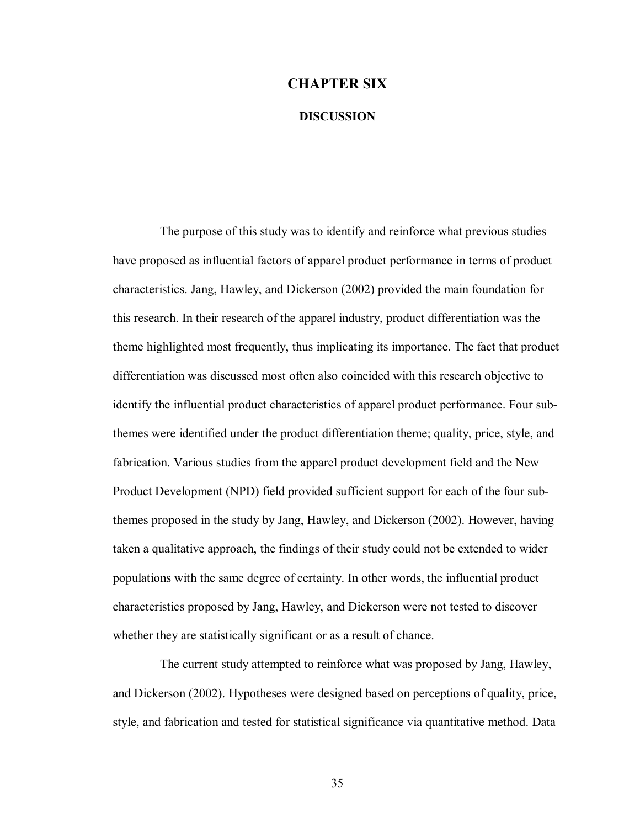## **CHAPTER SIX**

#### **DISCUSSION**

The purpose of this study was to identify and reinforce what previous studies have proposed as influential factors of apparel product performance in terms of product characteristics. Jang, Hawley, and Dickerson (2002) provided the main foundation for this research. In their research of the apparel industry, product differentiation was the theme highlighted most frequently, thus implicating its importance. The fact that product differentiation was discussed most often also coincided with this research objective to identify the influential product characteristics of apparel product performance. Four subthemes were identified under the product differentiation theme; quality, price, style, and fabrication. Various studies from the apparel product development field and the New Product Development (NPD) field provided sufficient support for each of the four subthemes proposed in the study by Jang, Hawley, and Dickerson (2002). However, having taken a qualitative approach, the findings of their study could not be extended to wider populations with the same degree of certainty. In other words, the influential product characteristics proposed by Jang, Hawley, and Dickerson were not tested to discover whether they are statistically significant or as a result of chance.

The current study attempted to reinforce what was proposed by Jang, Hawley, and Dickerson (2002). Hypotheses were designed based on perceptions of quality, price, style, and fabrication and tested for statistical significance via quantitative method. Data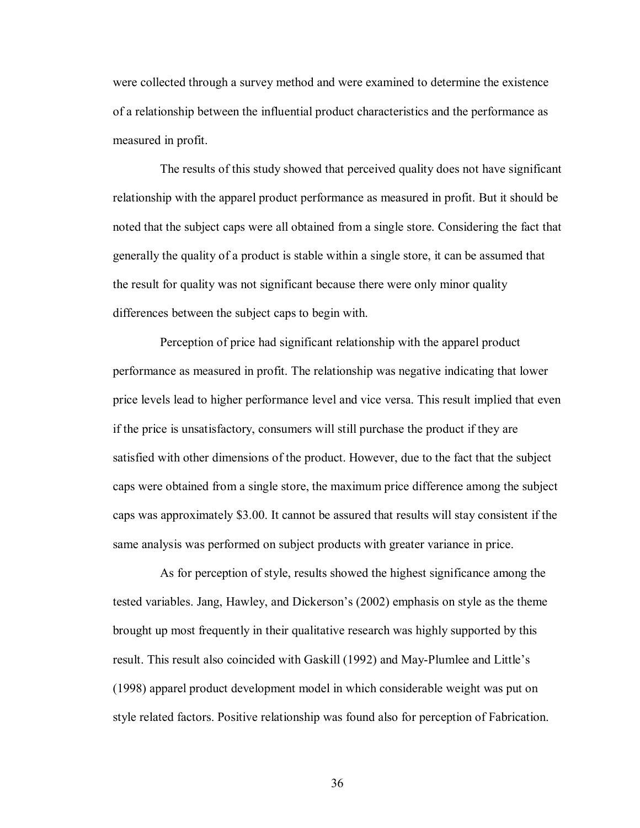were collected through a survey method and were examined to determine the existence of a relationship between the influential product characteristics and the performance as measured in profit.

The results of this study showed that perceived quality does not have significant relationship with the apparel product performance as measured in profit. But it should be noted that the subject caps were all obtained from a single store. Considering the fact that generally the quality of a product is stable within a single store, it can be assumed that the result for quality was not significant because there were only minor quality differences between the subject caps to begin with.

Perception of price had significant relationship with the apparel product performance as measured in profit. The relationship was negative indicating that lower price levels lead to higher performance level and vice versa. This result implied that even if the price is unsatisfactory, consumers will still purchase the product if they are satisfied with other dimensions of the product. However, due to the fact that the subject caps were obtained from a single store, the maximum price difference among the subject caps was approximately \$3.00. It cannot be assured that results will stay consistent if the same analysis was performed on subject products with greater variance in price.

As for perception of style, results showed the highest significance among the tested variables. Jang, Hawley, and Dickerson's (2002) emphasis on style as the theme brought up most frequently in their qualitative research was highly supported by this result. This result also coincided with Gaskill (1992) and May-Plumlee and Little's (1998) apparel product development model in which considerable weight was put on style related factors. Positive relationship was found also for perception of Fabrication.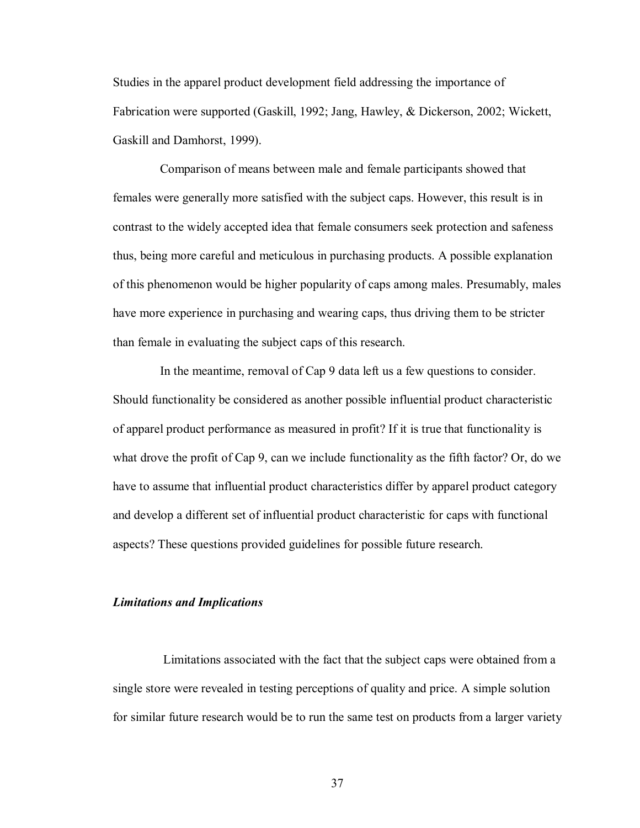Studies in the apparel product development field addressing the importance of Fabrication were supported (Gaskill, 1992; Jang, Hawley, & Dickerson, 2002; Wickett, Gaskill and Damhorst, 1999).

Comparison of means between male and female participants showed that females were generally more satisfied with the subject caps. However, this result is in contrast to the widely accepted idea that female consumers seek protection and safeness thus, being more careful and meticulous in purchasing products. A possible explanation of this phenomenon would be higher popularity of caps among males. Presumably, males have more experience in purchasing and wearing caps, thus driving them to be stricter than female in evaluating the subject caps of this research.

In the meantime, removal of Cap 9 data left us a few questions to consider. Should functionality be considered as another possible influential product characteristic of apparel product performance as measured in profit? If it is true that functionality is what drove the profit of Cap 9, can we include functionality as the fifth factor? Or, do we have to assume that influential product characteristics differ by apparel product category and develop a different set of influential product characteristic for caps with functional aspects? These questions provided guidelines for possible future research.

#### *Limitations and Implications*

 Limitations associated with the fact that the subject caps were obtained from a single store were revealed in testing perceptions of quality and price. A simple solution for similar future research would be to run the same test on products from a larger variety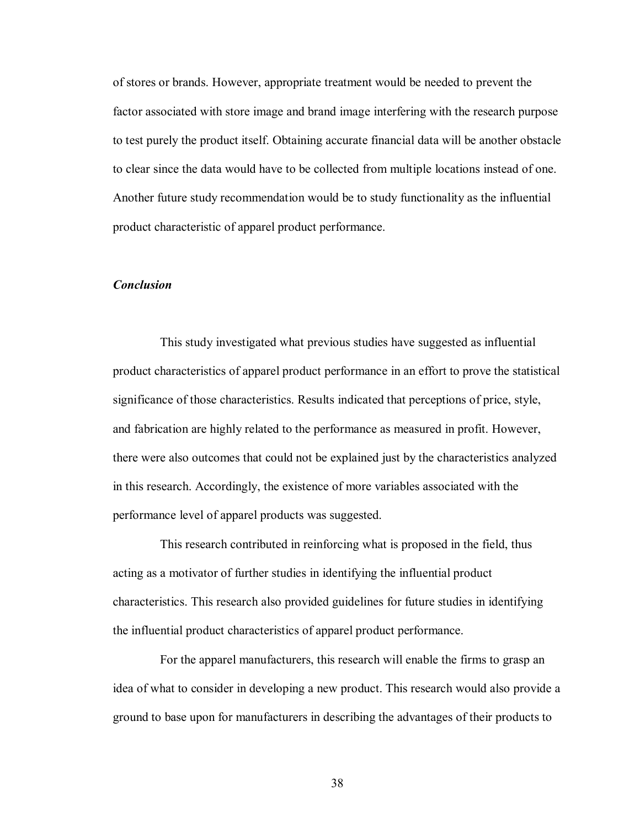of stores or brands. However, appropriate treatment would be needed to prevent the factor associated with store image and brand image interfering with the research purpose to test purely the product itself. Obtaining accurate financial data will be another obstacle to clear since the data would have to be collected from multiple locations instead of one. Another future study recommendation would be to study functionality as the influential product characteristic of apparel product performance.

#### *Conclusion*

This study investigated what previous studies have suggested as influential product characteristics of apparel product performance in an effort to prove the statistical significance of those characteristics. Results indicated that perceptions of price, style, and fabrication are highly related to the performance as measured in profit. However, there were also outcomes that could not be explained just by the characteristics analyzed in this research. Accordingly, the existence of more variables associated with the performance level of apparel products was suggested.

This research contributed in reinforcing what is proposed in the field, thus acting as a motivator of further studies in identifying the influential product characteristics. This research also provided guidelines for future studies in identifying the influential product characteristics of apparel product performance.

For the apparel manufacturers, this research will enable the firms to grasp an idea of what to consider in developing a new product. This research would also provide a ground to base upon for manufacturers in describing the advantages of their products to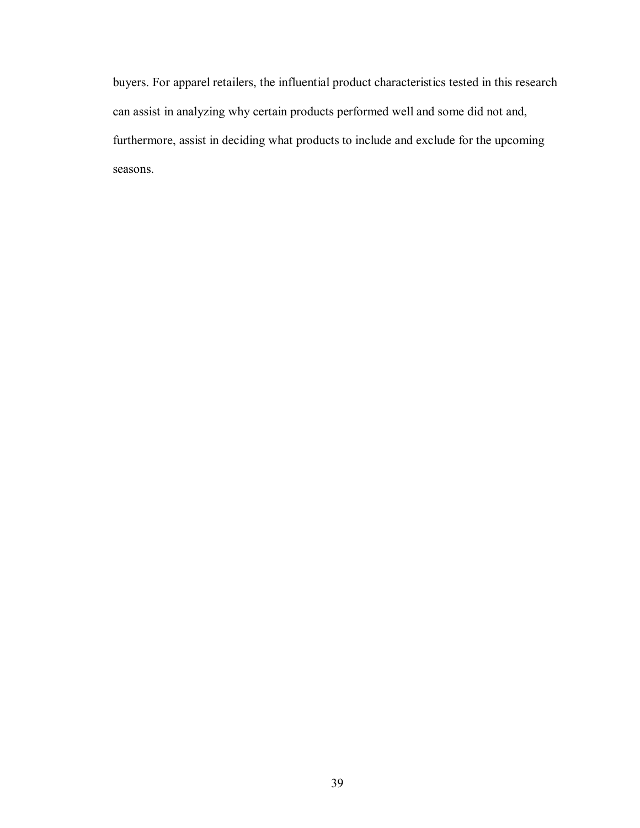buyers. For apparel retailers, the influential product characteristics tested in this research can assist in analyzing why certain products performed well and some did not and, furthermore, assist in deciding what products to include and exclude for the upcoming seasons.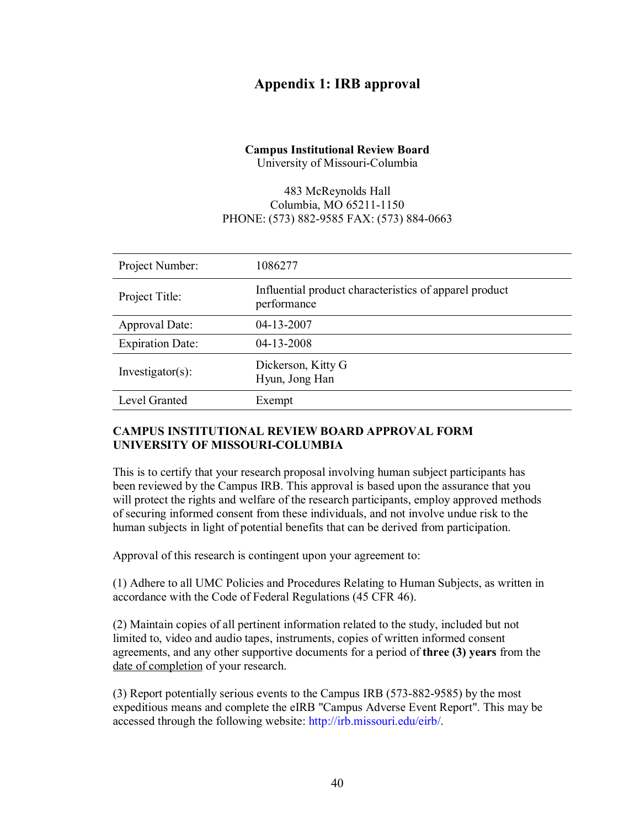## **Appendix 1: IRB approval**

# **Campus Institutional Review Board**

University of Missouri-Columbia

## 483 McReynolds Hall Columbia, MO 65211-1150 PHONE: (573) 882-9585 FAX: (573) 884-0663

| Project Number:         | 1086277                                                               |
|-------------------------|-----------------------------------------------------------------------|
| Project Title:          | Influential product characteristics of apparel product<br>performance |
| Approval Date:          | 04-13-2007                                                            |
| <b>Expiration Date:</b> | 04-13-2008                                                            |
| $Investigator(s)$ :     | Dickerson, Kitty G<br>Hyun, Jong Han                                  |
| Level Granted           | Exempt                                                                |

## **CAMPUS INSTITUTIONAL REVIEW BOARD APPROVAL FORM UNIVERSITY OF MISSOURI-COLUMBIA**

This is to certify that your research proposal involving human subject participants has been reviewed by the Campus IRB. This approval is based upon the assurance that you will protect the rights and welfare of the research participants, employ approved methods of securing informed consent from these individuals, and not involve undue risk to the human subjects in light of potential benefits that can be derived from participation.

Approval of this research is contingent upon your agreement to:

(1) Adhere to all UMC Policies and Procedures Relating to Human Subjects, as written in accordance with the Code of Federal Regulations (45 CFR 46).

(2) Maintain copies of all pertinent information related to the study, included but not limited to, video and audio tapes, instruments, copies of written informed consent agreements, and any other supportive documents for a period of **three (3) years** from the date of completion of your research.

(3) Report potentially serious events to the Campus IRB (573-882-9585) by the most expeditious means and complete the eIRB "Campus Adverse Event Report". This may be accessed through the following website: http://irb.missouri.edu/eirb/.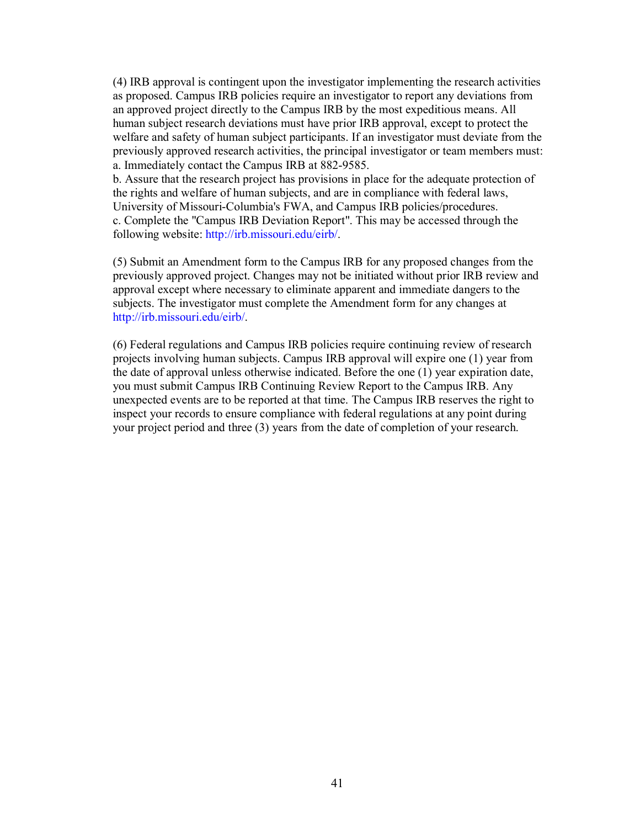(4) IRB approval is contingent upon the investigator implementing the research activities as proposed. Campus IRB policies require an investigator to report any deviations from an approved project directly to the Campus IRB by the most expeditious means. All human subject research deviations must have prior IRB approval, except to protect the welfare and safety of human subject participants. If an investigator must deviate from the previously approved research activities, the principal investigator or team members must: a. Immediately contact the Campus IRB at 882-9585.

b. Assure that the research project has provisions in place for the adequate protection of the rights and welfare of human subjects, and are in compliance with federal laws, University of Missouri-Columbia's FWA, and Campus IRB policies/procedures. c. Complete the "Campus IRB Deviation Report". This may be accessed through the following website: http://irb.missouri.edu/eirb/.

(5) Submit an Amendment form to the Campus IRB for any proposed changes from the previously approved project. Changes may not be initiated without prior IRB review and approval except where necessary to eliminate apparent and immediate dangers to the subjects. The investigator must complete the Amendment form for any changes at http://irb.missouri.edu/eirb/.

(6) Federal regulations and Campus IRB policies require continuing review of research projects involving human subjects. Campus IRB approval will expire one (1) year from the date of approval unless otherwise indicated. Before the one (1) year expiration date, you must submit Campus IRB Continuing Review Report to the Campus IRB. Any unexpected events are to be reported at that time. The Campus IRB reserves the right to inspect your records to ensure compliance with federal regulations at any point during your project period and three (3) years from the date of completion of your research.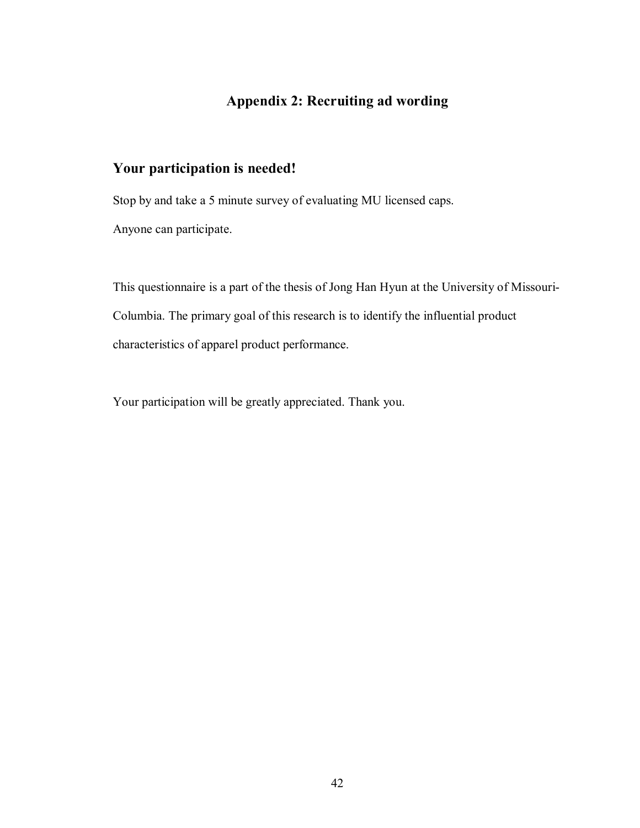# **Appendix 2: Recruiting ad wording**

## **Your participation is needed!**

Stop by and take a 5 minute survey of evaluating MU licensed caps. Anyone can participate.

This questionnaire is a part of the thesis of Jong Han Hyun at the University of Missouri-Columbia. The primary goal of this research is to identify the influential product characteristics of apparel product performance.

Your participation will be greatly appreciated. Thank you.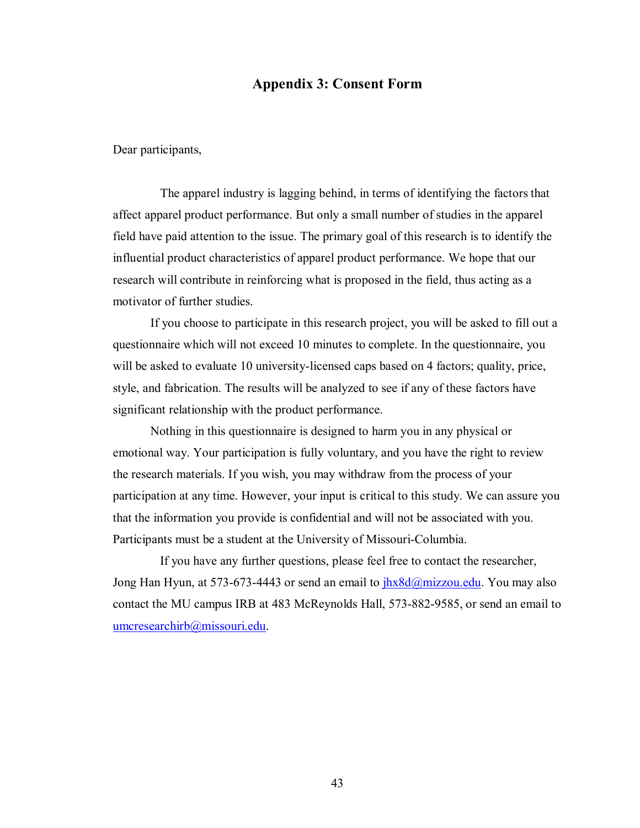## **Appendix 3: Consent Form**

Dear participants,

The apparel industry is lagging behind, in terms of identifying the factors that affect apparel product performance. But only a small number of studies in the apparel field have paid attention to the issue. The primary goal of this research is to identify the influential product characteristics of apparel product performance. We hope that our research will contribute in reinforcing what is proposed in the field, thus acting as a motivator of further studies.

If you choose to participate in this research project, you will be asked to fill out a questionnaire which will not exceed 10 minutes to complete. In the questionnaire, you will be asked to evaluate 10 university-licensed caps based on 4 factors; quality, price, style, and fabrication. The results will be analyzed to see if any of these factors have significant relationship with the product performance.

Nothing in this questionnaire is designed to harm you in any physical or emotional way. Your participation is fully voluntary, and you have the right to review the research materials. If you wish, you may withdraw from the process of your participation at any time. However, your input is critical to this study. We can assure you that the information you provide is confidential and will not be associated with you. Participants must be a student at the University of Missouri-Columbia.

If you have any further questions, please feel free to contact the researcher, Jong Han Hyun, at 573-673-4443 or send an email to  $\frac{i\hbar x \delta d\omega}{m}$  izzou.edu. You may also contact the MU campus IRB at 483 McReynolds Hall, 573-882-9585, or send an email to umcresearchirb@missouri.edu.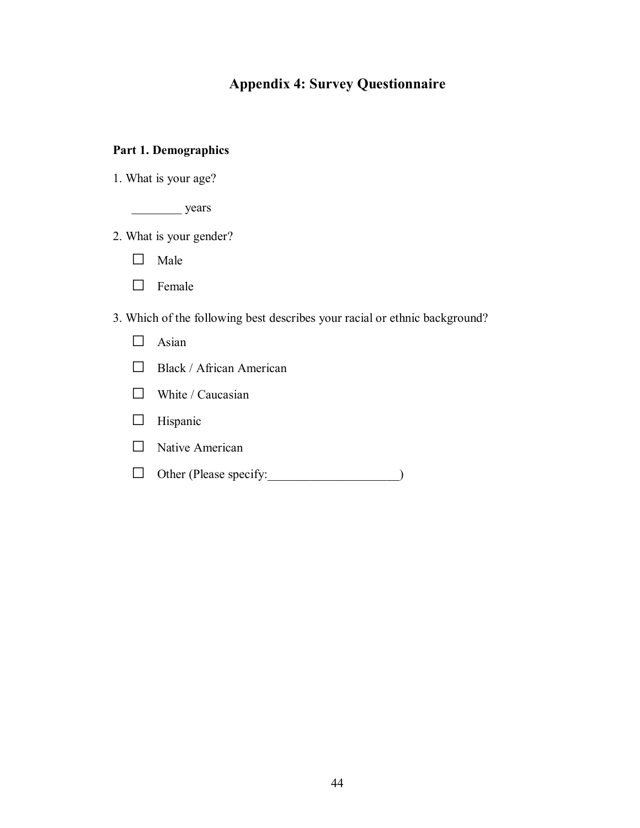# **Appendix 4: Survey Questionnaire**

## **Part 1. Demographics**

1. What is your age?

\_\_\_\_\_\_\_\_ years

- 2. What is your gender?
	- □ Male
	- □ Female

3. Which of the following best describes your racial or ethnic background?

- □ Asian
- □ Black / African American
- $\Box$  White / Caucasian
- □ Hispanic
- □ Native American
- □ Other (Please specify:\_\_\_\_\_\_\_\_\_\_\_\_\_\_\_\_\_\_\_\_\_)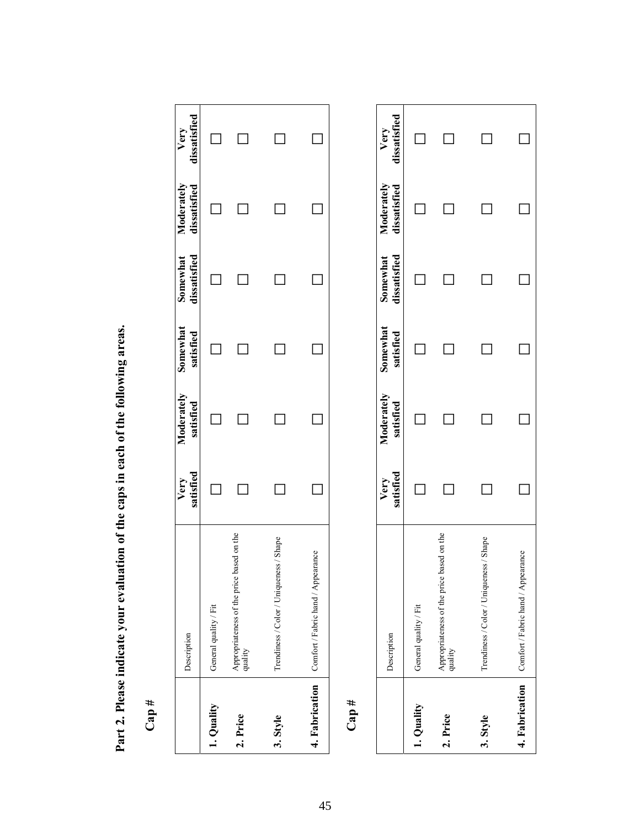Part 2. Please indicate your evaluation of the caps in each of the following areas. **Part 2. Please indicate your evaluation of the caps in each of the following areas.** 

**Cap #** 

|                                    | Description                                          | Very Moderately Somewhat Somewhat Moderately Very<br>satisfied satisfied satisfied dissatisfied dissatisfied dissatisfied |  |  |
|------------------------------------|------------------------------------------------------|---------------------------------------------------------------------------------------------------------------------------|--|--|
| 1. Quality                         | General quality / Fit                                |                                                                                                                           |  |  |
| 2. Price                           | Appropriateness of the price based on the<br>quality |                                                                                                                           |  |  |
| 3. Style                           | Shape<br>Trendiness / Color / Uniqueness /           |                                                                                                                           |  |  |
|                                    | 4. Fabrication Comfort / Fabric hand / Appearance    |                                                                                                                           |  |  |
| $\mathop{\mathrm{Cap}}\nolimits$ # |                                                      |                                                                                                                           |  |  |

 $\ddot{ }$ 

|            | Description                                          | Very Moderately Somewhat Somewhat Moderately Very<br>satisfied satisfied satisfied dissatisfied dissatisfied dissatisfied |  |  |
|------------|------------------------------------------------------|---------------------------------------------------------------------------------------------------------------------------|--|--|
| 1. Quality | General quality / Fit                                |                                                                                                                           |  |  |
| 2. Price   | Appropriateness of the price based on the<br>quality |                                                                                                                           |  |  |
| 3. Style   | Trendiness / Color / Uniqueness / Shape              |                                                                                                                           |  |  |
|            | 4. Fabrication Comfort / Fabric hand / Appearance    |                                                                                                                           |  |  |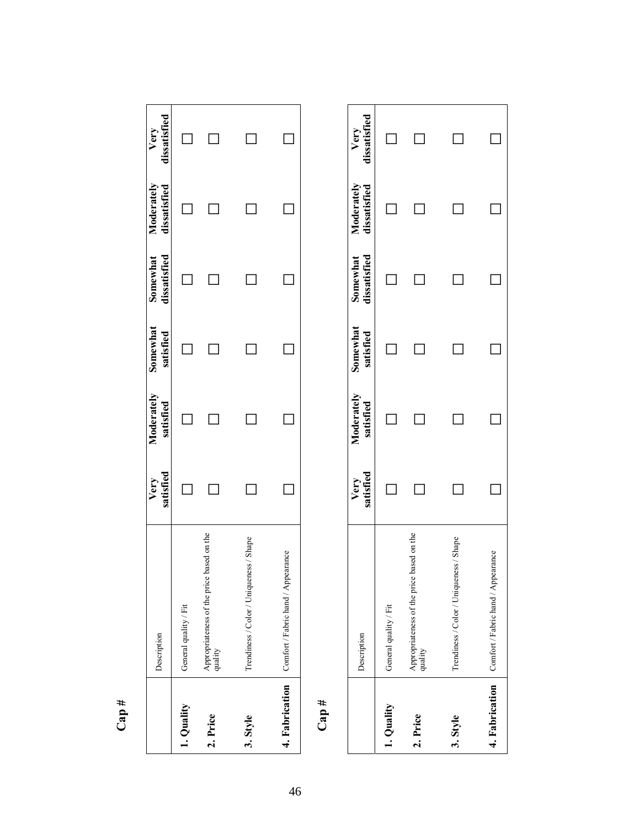| r<br>t. |  |
|---------|--|
|         |  |
|         |  |

|            | Description                                          | Very Moderately Somewhat Somewhat Moderately Very<br>satisfied satisfied satisfied dissatisfied dissatisfied dissatisfied |  |        |
|------------|------------------------------------------------------|---------------------------------------------------------------------------------------------------------------------------|--|--------|
| 1. Quality | General quality / Fit                                |                                                                                                                           |  | $\Box$ |
| 2. Price   | Appropriateness of the price based on the<br>quality |                                                                                                                           |  | $\Box$ |
| 3. Style   | Trendiness / Color / Uniqueness / Shape              |                                                                                                                           |  | $\Box$ |
|            | 4. Fabrication Comfort / Fabric hand / Appearance    |                                                                                                                           |  |        |
|            |                                                      |                                                                                                                           |  |        |

ř,

h.

Š

**Cap #** 

|            | Description                                              | Very Moderately Somewhat Somewhat Moderately Very<br>satisfied satisfied satisfied dissatisfied dissatisfied dissatisfied |  |  |
|------------|----------------------------------------------------------|---------------------------------------------------------------------------------------------------------------------------|--|--|
| 1. Quality | General quality / Fit                                    |                                                                                                                           |  |  |
| 2. Price   | Appropriateness of the price based on the<br>quality     |                                                                                                                           |  |  |
| 3. Style   | Trendiness / Color / Uniqueness / Shape                  |                                                                                                                           |  |  |
|            | <b>4. Fabrication</b> Comfort / Fabric hand / Appearance |                                                                                                                           |  |  |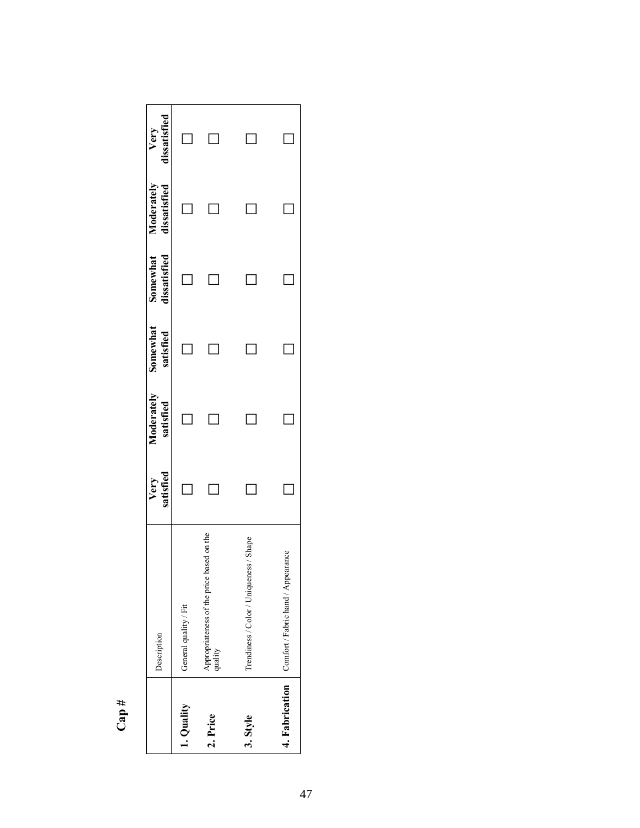| ᅭ |   |
|---|---|
|   | с |
|   |   |
|   |   |

|                | Description                                          |        | Very Moderately Somewhat Somewhat Moderately<br>satisfied satisfied satisfied dissatisfied dissatisfied<br>satisfied | satisfied | Somewhat Moderately Very<br>dissatisfied dissatisfied dissatisfied |  |
|----------------|------------------------------------------------------|--------|----------------------------------------------------------------------------------------------------------------------|-----------|--------------------------------------------------------------------|--|
| 1. Quality     | General quality / Fit                                | $\Box$ |                                                                                                                      |           |                                                                    |  |
| 2. Price       | Appropriateness of the price based on the<br>quality |        |                                                                                                                      |           |                                                                    |  |
| 3. Style       | Shape<br>Trendiness / Color / Uniqueness.            |        | Ξ                                                                                                                    |           |                                                                    |  |
| 4. Fabrication | Comfort / Fabric hand / Appearance                   |        |                                                                                                                      |           |                                                                    |  |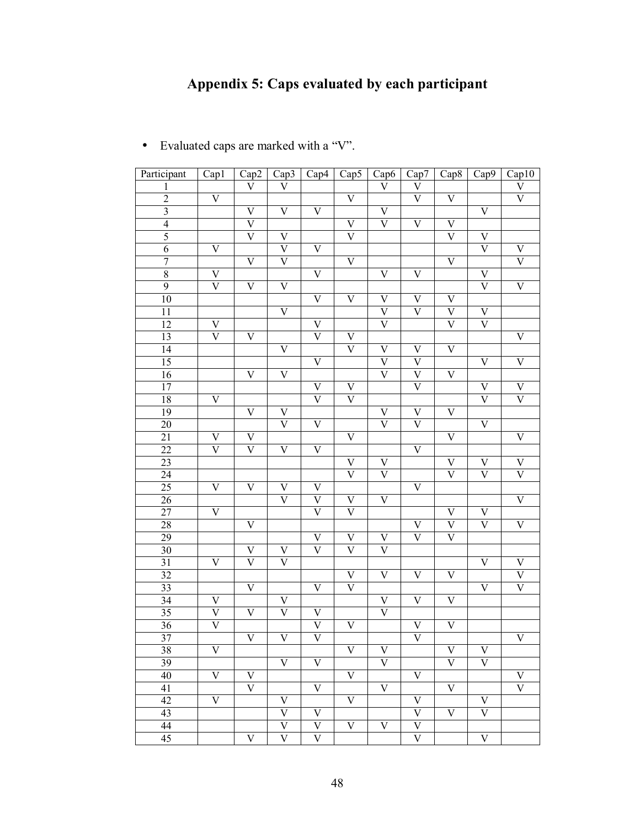# **Appendix 5: Caps evaluated by each participant**

| Participant             | Cap1                    | Cap2                    | Cap3                    | Cap4                    | Cap5                    | Cap6                    | Cap7                      | Cap <sub>8</sub>        | Cap9                      | Cap10                   |
|-------------------------|-------------------------|-------------------------|-------------------------|-------------------------|-------------------------|-------------------------|---------------------------|-------------------------|---------------------------|-------------------------|
| L                       |                         | $\overline{\rm v}$      | $\overline{\rm V}$      |                         |                         | $\overline{\rm V}$      | $\overline{\rm V}$        |                         |                           | $\overline{\rm V}$      |
| $\overline{2}$          | $\overline{\mathsf{V}}$ |                         |                         |                         | $\overline{\mathsf{V}}$ |                         | $\overline{\rm V}$        | $\overline{\mathsf{V}}$ |                           | $\overline{\rm V}$      |
| $\overline{\mathbf{3}}$ |                         | $\overline{\mathsf{V}}$ | $\overline{\mathsf{V}}$ | $\overline{\mathsf{V}}$ |                         | $\overline{\mathsf{V}}$ |                           |                         | $\overline{\rm V}$        |                         |
| $\overline{4}$          |                         | $\overline{\rm V}$      |                         |                         | $\overline{\mathsf{V}}$ | $\overline{\rm V}$      | $\overline{\mathrm{V}}$   | $\overline{\mathsf{V}}$ |                           |                         |
| $\overline{5}$          |                         | $\overline{\rm V}$      | $\overline{\mathsf{V}}$ |                         | $\overline{\rm V}$      |                         |                           | $\overline{\text{V}}$   | $\overline{\rm V}$        |                         |
| $\overline{6}$          | $\overline{\mathsf{V}}$ |                         | $\overline{\rm V}$      | $\overline{\mathsf{V}}$ |                         |                         |                           |                         | $\overline{\rm V}$        | $\overline{\rm V}$      |
| $\overline{7}$          |                         | $\overline{\mathsf{V}}$ | $\overline{\rm V}$      |                         | $\overline{\mathsf{V}}$ |                         |                           | $\overline{\mathrm{V}}$ |                           | $\overline{\rm V}$      |
| $\overline{8}$          | $\overline{\mathsf{V}}$ |                         |                         | $\overline{\mathsf{V}}$ |                         | $\overline{\mathsf{V}}$ | $\overline{\mathsf{V}}$   |                         | $\overline{\rm V}$        |                         |
| $\overline{9}$          | $\overline{\mathsf{V}}$ | $\overline{\mathsf{V}}$ | $\overline{\mathsf{V}}$ |                         |                         |                         |                           |                         | $\overline{\rm V}$        | $\overline{\mathsf{V}}$ |
| 10                      |                         |                         |                         | $\overline{\mathsf{V}}$ | $\overline{\mathsf{V}}$ | $\overline{\mathsf{V}}$ | $\overline{\mathrm{V}}$   | $\overline{\mathsf{V}}$ |                           |                         |
| $\overline{11}$         |                         |                         | $\overline{\mathsf{V}}$ |                         |                         | $\overline{\rm V}$      | $\overline{\text{V}}$     | $\overline{\text{V}}$   | $\overline{\rm V}$        |                         |
| 12                      | $\overline{\mathsf{V}}$ |                         |                         | $\overline{\mathsf{V}}$ |                         | $\overline{\rm V}$      |                           | $\overline{\rm V}$      | $\overline{\rm V}$        |                         |
| 13                      | $\overline{\rm v}$      | $\overline{\mathsf{V}}$ |                         | $\overline{\text{V}}$   | $\overline{\rm V}$      |                         |                           |                         |                           | $\overline{\mathsf{V}}$ |
| $\overline{14}$         |                         |                         | $\overline{\mathsf{V}}$ |                         | $\overline{\rm V}$      | $\overline{\mathsf{V}}$ | $\overline{\mathrm{V}}$   | $\overline{\mathsf{V}}$ |                           |                         |
| $\overline{15}$         |                         |                         |                         | $\overline{\mathsf{V}}$ |                         | $\overline{\rm V}$      | $\overline{\rm V}$        |                         | $\overline{\rm V}$        | $\overline{V}$          |
| 16                      |                         | $\overline{\mathsf{V}}$ | $\overline{\mathsf{V}}$ |                         |                         | $\overline{\rm V}$      | $\overline{\rm v}$        | $\overline{\mathrm{V}}$ |                           |                         |
| 17                      |                         |                         |                         | $\overline{\mathsf{V}}$ | $\overline{\mathrm{V}}$ |                         | $\overline{\text{V}}$     |                         | $\overline{\rm V}$        | $\overline{\rm V}$      |
| 18                      | $\overline{\mathsf{V}}$ |                         |                         | $\overline{\rm v}$      | $\overline{\rm V}$      |                         |                           |                         | $\overline{\rm V}$        | $\overline{\rm V}$      |
| 19                      |                         | $\overline{\mathsf{V}}$ | $\overline{\mathrm{V}}$ |                         |                         | $\overline{\rm V}$      | $\overline{\mathsf{V}}$   | $\overline{\mathsf{V}}$ |                           |                         |
| 20                      |                         |                         | $\overline{\rm V}$      | $\overline{\mathsf{V}}$ |                         | $\overline{\rm V}$      | $\overline{\text{V}}$     |                         | $\overline{\rm V}$        |                         |
| $\overline{21}$         | $\overline{\mathsf{V}}$ | $\overline{\mathsf{V}}$ |                         |                         | $\overline{\mathsf{V}}$ |                         |                           | $\overline{\mathrm{V}}$ |                           | $\overline{\mathsf{V}}$ |
| $\overline{22}$         | $\overline{\rm V}$      | $\overline{\rm V}$      | $\overline{\mathsf{V}}$ | $\overline{\mathsf{V}}$ |                         |                         | $\overline{\mathrm{V}}$   |                         |                           |                         |
| 23                      |                         |                         |                         |                         | $\overline{\mathrm{V}}$ | $\overline{\mathrm{V}}$ |                           | $\overline{\mathrm{V}}$ | $\overline{\rm V}$        | $\overline{V}$          |
| $\overline{24}$         |                         |                         |                         |                         | $\overline{\rm V}$      | $\overline{\rm V}$      |                           | $\overline{\rm V}$      | $\overline{\rm V}$        | $\overline{\rm V}$      |
| 25                      | $\overline{\mathsf{V}}$ | $\overline{\mathsf{V}}$ | $\overline{\mathsf{V}}$ | $\overline{\mathsf{V}}$ |                         |                         | $\overline{\mathrm{V}}$   |                         |                           |                         |
| 26                      |                         |                         | $\overline{\rm V}$      | $\overline{\text{V}}$   | $\overline{\rm V}$      | $\overline{V}$          |                           |                         |                           | $\overline{\mathsf{V}}$ |
| $\overline{27}$         | $\overline{\mathsf{V}}$ |                         |                         | $\overline{\rm V}$      | $\overline{\rm V}$      |                         |                           | $\overline{\mathrm{V}}$ | $\overline{\rm V}$        |                         |
| 28                      |                         | $\overline{\mathsf{V}}$ |                         |                         |                         |                         | $\overline{\mathrm{V}}$   | $\overline{\text{V}}$   | $\overline{\rm V}$        | $\overline{\mathsf{V}}$ |
| 29                      |                         |                         |                         | $\overline{\mathsf{V}}$ | $\overline{\rm V}$      | $\overline{\mathrm{V}}$ | $\overline{\text{V}}$     | $\overline{\rm V}$      |                           |                         |
| $\overline{30}$         |                         | $\overline{\mathsf{V}}$ | $\overline{\mathrm{V}}$ | $\overline{\text{V}}$   | $\overline{\rm V}$      | $\overline{\text{V}}$   |                           |                         |                           |                         |
| 31                      | $\overline{\mathrm{V}}$ | $\overline{\rm V}$      | $\overline{\rm V}$      |                         |                         |                         |                           |                         | $\overline{\rm V}$        | $\overline{\mathbf{V}}$ |
| 32                      |                         |                         |                         |                         | $\overline{\mathrm{V}}$ | $\overline{V}$          | $\overline{\mathsf{V}}$   | $\overline{\mathrm{V}}$ |                           | $\overline{\rm V}$      |
| 33                      |                         | $\overline{\mathsf{V}}$ |                         | $\overline{\mathsf{V}}$ | $\overline{\text{V}}$   |                         |                           |                         | $\overline{\rm V}$        | $\overline{\mathrm{V}}$ |
| 34                      | $\overline{\mathsf{V}}$ |                         | $\overline{\mathrm{V}}$ |                         |                         | $\overline{\mathrm{V}}$ | $\overline{\mathsf{V}}$   | $\overline{\mathrm{V}}$ |                           |                         |
| 35                      | $\overline{\rm V}$      | $\overline{\mathsf{V}}$ | $\overline{\rm V}$      | $\overline{\mathsf{V}}$ |                         | $\overline{\text{V}}$   |                           |                         |                           |                         |
| $\overline{36}$         | $\overline{\text{V}}$   |                         |                         | $\overline{\mathsf{V}}$ | $\overline{\mathsf{V}}$ |                         | $\overline{\mathsf{V}}$   | $\overline{\mathsf{V}}$ |                           |                         |
| $\overline{37}$         |                         | $\overline{\mathbf{V}}$ | $\overline{\text{V}}$   | $\overline{\mathbf{V}}$ |                         |                         | $\overline{\mathbf{V}}$   |                         |                           | $\overline{\mathbf{V}}$ |
| 38                      | V                       |                         |                         |                         | $\overline{\rm V}$      | V                       |                           | V                       | $\mathbf V$               |                         |
| 39                      |                         |                         | $\overline{\mathbf{V}}$ | $\overline{\mathbf{V}}$ |                         | $\overline{\rm V}$      |                           | $\overline{\rm V}$      | $\overline{\rm V}$        |                         |
| $\overline{40}$         | $\overline{\rm V}$      | $\overline{\rm V}$      |                         |                         | $\overline{\mathbf{V}}$ |                         | $\overline{\mathbf{V}}$   |                         |                           | V                       |
| 41                      |                         | $\overline{\rm V}$      |                         | $\overline{\rm V}$      |                         | $\overline{V}$          |                           | $\overline{\mathbf{V}}$ |                           | $\overline{\rm V}$      |
| 42                      | $\overline{\rm v}$      |                         | $\mathbf V$             |                         | $\overline{\mathrm{V}}$ |                         | $\boldsymbol{\mathrm{V}}$ |                         | $\mathbf V$               |                         |
| $\overline{43}$         |                         |                         | $\overline{\rm v}$      | $\overline{\rm V}$      |                         |                         | $\overline{\rm V}$        | $\mathbf V$             | $\overline{\rm V}$        |                         |
| 44                      |                         |                         | $\overline{\rm V}$      | $\overline{\mathrm{V}}$ | $\overline{\rm v}$      | $\overline{\mathbf{V}}$ | $\overline{\mathsf{V}}$   |                         |                           |                         |
| 45                      |                         | $\overline{\rm V}$      | $\overline{\rm V}$      | $\overline{\mathrm{V}}$ |                         |                         | $\overline{\rm V}$        |                         | $\ensuremath{\mathsf{V}}$ |                         |
|                         |                         |                         |                         |                         |                         |                         |                           |                         |                           |                         |

• Evaluated caps are marked with a "V".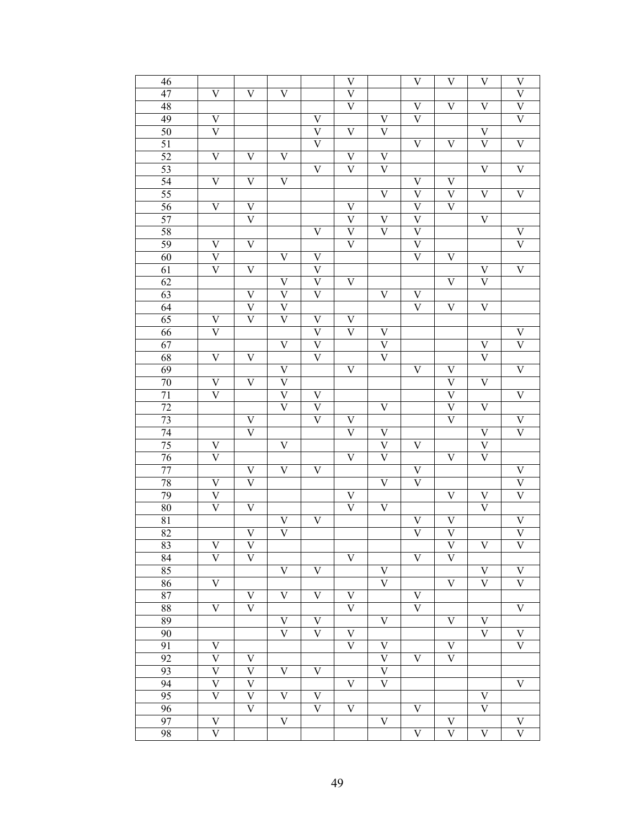| 46              |                         |                         |                           |                                   | V                         |                           | $\overline{\rm V}$        | V                         | $\boldsymbol{\mathrm{V}}$ | V                       |
|-----------------|-------------------------|-------------------------|---------------------------|-----------------------------------|---------------------------|---------------------------|---------------------------|---------------------------|---------------------------|-------------------------|
| 47              | $\overline{\rm V}$      | $\overline{\rm v}$      | $\overline{\mathrm{V}}$   |                                   | $\overline{\mathsf{V}}$   |                           |                           |                           |                           | $\overline{\rm v}$      |
| 48              |                         |                         |                           |                                   | $\overline{\text{V}}$     |                           | V                         | V                         | V                         | $\overline{\mathrm{V}}$ |
| 49              | $\overline{\mathrm{V}}$ |                         |                           | $\mathbf V$                       |                           | $\mathbf V$               | $\overline{\rm V}$        |                           |                           | $\overline{\rm V}$      |
| 50              | $\overline{\rm V}$      |                         |                           | $\overline{\mathsf{V}}$           | $\overline{\rm V}$        | $\overline{\mathsf{V}}$   |                           |                           | $\overline{\mathrm{V}}$   |                         |
| 51              |                         |                         |                           | $\overline{\text{V}}$             |                           |                           | $\overline{\rm V}$        | $\overline{\rm v}$        | $\overline{\rm V}$        | $\overline{\mathrm{V}}$ |
| 52              | $\overline{\rm V}$      | $\overline{\rm v}$      | $\overline{\mathrm{V}}$   |                                   | V                         | $\overline{\mathsf{V}}$   |                           |                           |                           |                         |
| 53              |                         |                         |                           | $\overline{\mathrm{V}}$           | $\overline{\rm v}$        | $\overline{\mathsf{V}}$   |                           |                           | $\overline{\rm V}$        | $\overline{\mathrm{V}}$ |
| 54              | $\overline{\rm V}$      | $\overline{\rm v}$      | $\overline{\mathrm{V}}$   |                                   |                           |                           | $\overline{\mathrm{V}}$   | $\overline{\mathrm{V}}$   |                           |                         |
| 55              |                         |                         |                           |                                   |                           | $\overline{\mathsf{V}}$   | $\overline{\mathsf{V}}$   | $\overline{\mathrm{V}}$   | V                         | $\overline{\mathrm{V}}$ |
| 56              | $\overline{\rm V}$      | V                       |                           |                                   | V                         |                           | $\overline{\text{V}}$     | $\overline{\rm v}$        |                           |                         |
| 57              |                         | $\overline{\rm v}$      |                           |                                   | $\overline{\mathrm{V}}$   |                           | $\overline{\mathsf{V}}$   |                           |                           |                         |
|                 |                         |                         |                           |                                   |                           | $\mathbf V$               |                           |                           | $\overline{\mathrm{V}}$   |                         |
| 58              |                         |                         |                           | $\overline{\mathrm{V}}$           | $\overline{\mathrm{V}}$   | $\overline{\rm V}$        | $\overline{\mathsf{V}}$   |                           |                           | V                       |
| 59              | V                       | $\overline{\mathrm{V}}$ |                           |                                   | $\overline{\rm V}$        |                           | $\overline{\mathsf{V}}$   |                           |                           | $\overline{\rm v}$      |
| 60              | $\overline{\rm V}$      |                         | $\overline{\mathsf{V}}$   | $\overline{\mathsf{V}}$           |                           |                           | $\overline{\rm v}$        | $\overline{\mathrm{V}}$   |                           |                         |
| 61              | $\overline{\rm V}$      | $\overline{\rm V}$      |                           | $\overline{\mathsf{V}}$           |                           |                           |                           |                           | V                         | $\overline{\mathrm{V}}$ |
| 62              |                         |                         | $\mathbf V$               | $\overline{\mathsf{V}}$           | $\overline{\mathrm{V}}$   |                           |                           | V                         | $\overline{\rm V}$        |                         |
| 63              |                         | $\overline{\rm v}$      | $\overline{\mathsf{V}}$   | $\overline{\rm V}$                |                           | $\mathbf V$               | $\overline{\mathsf{V}}$   |                           |                           |                         |
| 64              |                         | $\overline{\text{V}}$   | $\overline{\mathsf{V}}$   |                                   |                           |                           | $\overline{\rm v}$        | $\overline{\rm v}$        | $\overline{\mathrm{V}}$   |                         |
| 65              | V                       | $\overline{\rm v}$      | $\overline{\mathsf{V}}$   | $\overline{\mathsf{V}}$           | V                         |                           |                           |                           |                           |                         |
| 66              | $\overline{\rm V}$      |                         |                           | $\overline{\mathsf{V}}$           | $\overline{\text{V}}$     | $\mathbf V$               |                           |                           |                           | V                       |
| 67              |                         |                         | $\overline{\mathrm{V}}$   | $\overline{\mathsf{V}}$           |                           | $\overline{\mathsf{V}}$   |                           |                           | V                         | $\overline{\rm v}$      |
| 68              | $\overline{\rm V}$      | $\overline{\rm v}$      |                           | $\overline{\rm V}$                |                           | $\overline{\mathrm{V}}$   |                           |                           | $\overline{\rm V}$        |                         |
| 69              |                         |                         | $\mathbf V$               |                                   | $\overline{\mathrm{V}}$   |                           | $\overline{\rm V}$        | V                         |                           | $\overline{\mathrm{V}}$ |
| 70              | $\overline{\mathrm{V}}$ | $\overline{\rm V}$      | $\overline{\mathsf{V}}$   |                                   |                           |                           |                           | $\overline{\text{V}}$     | $\overline{\mathrm{V}}$   |                         |
| $\overline{71}$ | $\overline{\rm V}$      |                         | $\overline{\mathsf{V}}$   | $\overline{\mathsf{V}}$           |                           |                           |                           | $\overline{\text{V}}$     |                           | $\overline{\mathrm{V}}$ |
| 72              |                         |                         | $\overline{\mathsf{V}}$   | $\overline{\mathsf{V}}$           |                           | $\overline{\mathsf{V}}$   |                           | $\overline{\text{V}}$     | $\overline{\mathrm{V}}$   |                         |
| 73              |                         | V                       |                           | $\overline{\rm v}$                | V                         |                           |                           | $\overline{\rm v}$        |                           | $\overline{\mathsf{V}}$ |
| 74              |                         | $\overline{\rm V}$      |                           |                                   | $\overline{\rm v}$        | $\overline{\mathsf{V}}$   |                           |                           | V                         | $\overline{\rm v}$      |
| 75              | V                       |                         | $\overline{\mathsf{V}}$   |                                   |                           | $\overline{\mathsf{V}}$   | $\overline{\mathrm{V}}$   |                           | $\overline{\mathsf{V}}$   |                         |
| 76              | $\overline{\rm V}$      |                         |                           |                                   | $\overline{\rm V}$        | $\overline{\mathrm{V}}$   |                           | V                         | $\overline{\text{V}}$     |                         |
| 77              |                         | V                       | $\overline{\mathrm{V}}$   | $\overline{\mathsf{V}}$           |                           |                           | $\overline{\mathsf{V}}$   |                           |                           | V                       |
| 78              | $\overline{\mathrm{V}}$ | $\overline{\rm V}$      |                           |                                   |                           | $\overline{\mathrm{V}}$   | $\overline{\rm v}$        |                           |                           | $\overline{\mathrm{V}}$ |
| 79              | $\overline{\rm V}$      |                         |                           |                                   | V                         |                           |                           | V                         | V                         | $\overline{\rm v}$      |
| 80              | $\overline{\rm V}$      | $\overline{\mathrm{V}}$ |                           |                                   | $\overline{\rm v}$        | $\overline{\mathsf{V}}$   |                           |                           | $\overline{\rm V}$        |                         |
| 81              |                         |                         | V                         | $\overline{\mathsf{V}}$           |                           |                           | V                         | V                         |                           | V                       |
| 82              |                         | $\overline{\rm v}$      | $\overline{\mathsf{V}}$   |                                   |                           |                           | $\overline{\rm v}$        | $\overline{\text{V}}$     |                           | $\overline{\mathsf{V}}$ |
| 83              | V                       | V                       |                           |                                   |                           |                           |                           | V                         | V                         | V                       |
| 84              | $\overline{\rm V}$      | $\overline{\rm V}$      |                           |                                   | $\overline{\mathbf{V}}$   |                           | $\overline{\rm V}$        | $\overline{\rm v}$        |                           |                         |
| 85              |                         |                         | $\ensuremath{\mathbf{V}}$ | $\overline{\mathsf{V}}$           |                           | $\ensuremath{\mathsf{V}}$ |                           |                           | V                         | V                       |
| 86              | $\overline{\rm V}$      |                         |                           |                                   |                           | $\overline{\mathsf{V}}$   |                           | $\boldsymbol{\mathrm{V}}$ | $\overline{\rm V}$        | $\overline{\rm V}$      |
| 87              |                         | V                       | $\ensuremath{\mathsf{V}}$ | $\ensuremath{\mathbf{V}}$         | V                         |                           | V                         |                           |                           |                         |
| 88              | $\overline{\rm V}$      | $\overline{\rm V}$      |                           |                                   | $\overline{\mathrm{V}}$   |                           | $\overline{\rm V}$        |                           |                           | V                       |
| 89              |                         |                         | $\mathbf V$               | $\mathbf V$                       |                           | $\ensuremath{\mathsf{V}}$ |                           | V                         | V                         |                         |
| $\overline{90}$ |                         |                         | $\overline{\mathsf{V}}$   | $\overline{\mathsf{V}}$           | V                         |                           |                           |                           | $\overline{\rm V}$        | V                       |
| 91              | V                       |                         |                           |                                   | $\overline{\rm V}$        | $\ensuremath{\mathsf{V}}$ |                           | V                         |                           | $\overline{\rm V}$      |
| 92              | $\overline{\mathrm{V}}$ | V                       |                           |                                   |                           | $\overline{\mathsf{V}}$   | V                         | $\overline{\rm V}$        |                           |                         |
| 93              | $\overline{\mathsf{V}}$ | $\overline{\mathrm{V}}$ | $\ensuremath{\mathbf{V}}$ | $\ensuremath{\mathbf{V}}$         |                           | $\overline{\mathsf{V}}$   |                           |                           |                           |                         |
| 94              | $\overline{\rm V}$      | $\overline{\mathrm{V}}$ |                           |                                   | $\ensuremath{\mathsf{V}}$ | $\overline{V}$            |                           |                           |                           | $\overline{\rm V}$      |
|                 | $\overline{\mathrm{V}}$ | $\overline{\rm V}$      |                           |                                   |                           |                           |                           |                           |                           |                         |
| 95<br>96        |                         | $\overline{\rm V}$      | $\ensuremath{\mathsf{V}}$ | $\mathbf V$<br>$\overline{\rm V}$ |                           |                           |                           |                           | V<br>$\overline{\rm V}$   |                         |
|                 |                         |                         |                           |                                   | $\ensuremath{\mathsf{V}}$ |                           | $\ensuremath{\mathsf{V}}$ |                           |                           |                         |
| 97              | V                       |                         | $\ensuremath{\mathbf{V}}$ |                                   |                           | $\ensuremath{\mathsf{V}}$ |                           | V                         |                           | V                       |
| 98              | $\overline{\rm V}$      |                         |                           |                                   |                           |                           | $\overline{\rm v}$        | $\overline{\rm v}$        | $\overline{\mathrm{V}}$   | $\overline{\rm v}$      |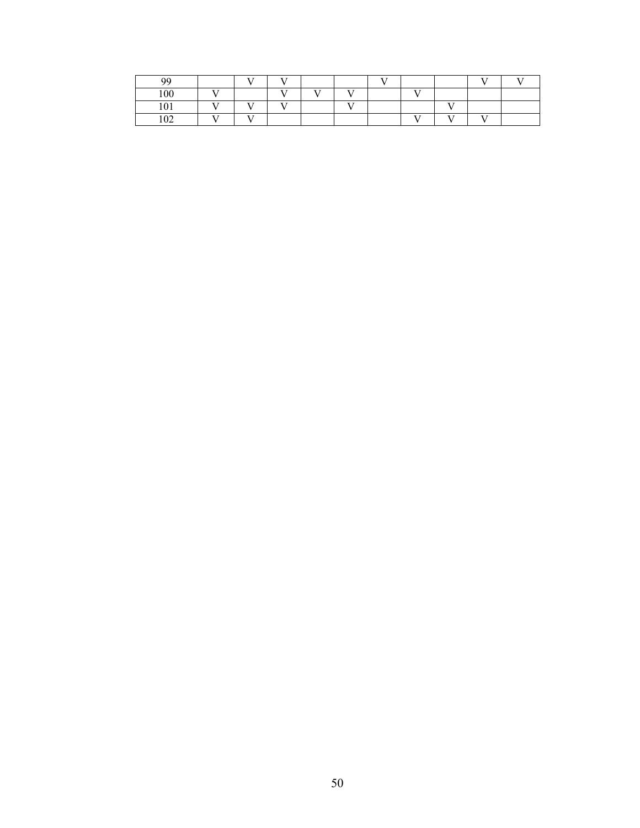| Q۵              |      | $ -$          | T             |      |      | $ -$ |              |              | $ -$ |  |
|-----------------|------|---------------|---------------|------|------|------|--------------|--------------|------|--|
| 100             | $ -$ |               | $\sim$ $\sim$ | $ -$ | $ -$ |      | $ -$         |              |      |  |
| 101             | $ -$ | $ -$          | T             |      | $ -$ |      |              | $ -$         |      |  |
| 102<br>$v \sim$ | $ -$ | $\sim$ $\sim$ |               |      |      |      | $\mathbf{r}$ | $\mathbf{r}$ | $ -$ |  |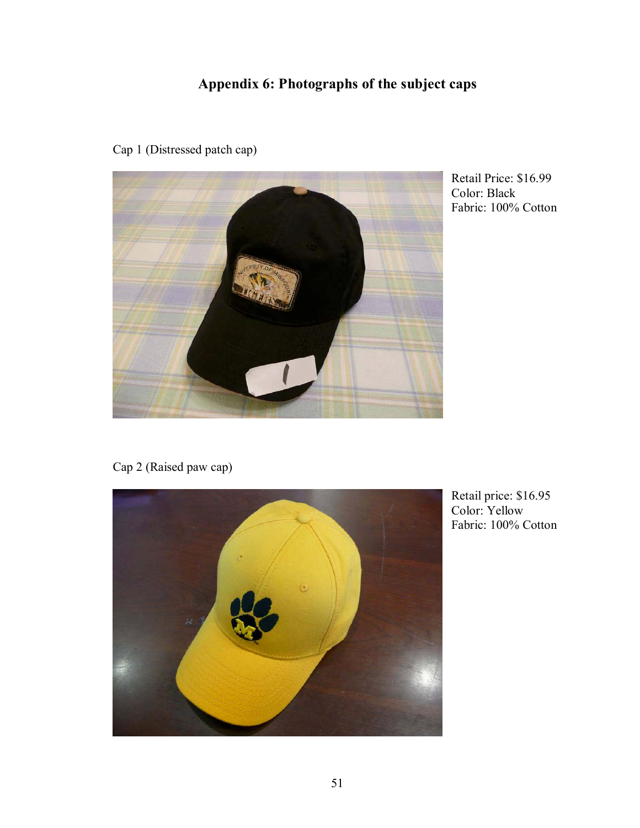# **Appendix 6: Photographs of the subject caps**



Cap 1 (Distressed patch cap)

Retail Price: \$16.99 Color: Black Fabric: 100% Cotton

Cap 2 (Raised paw cap)



Retail price: \$16.95 Color: Yellow Fabric: 100% Cotton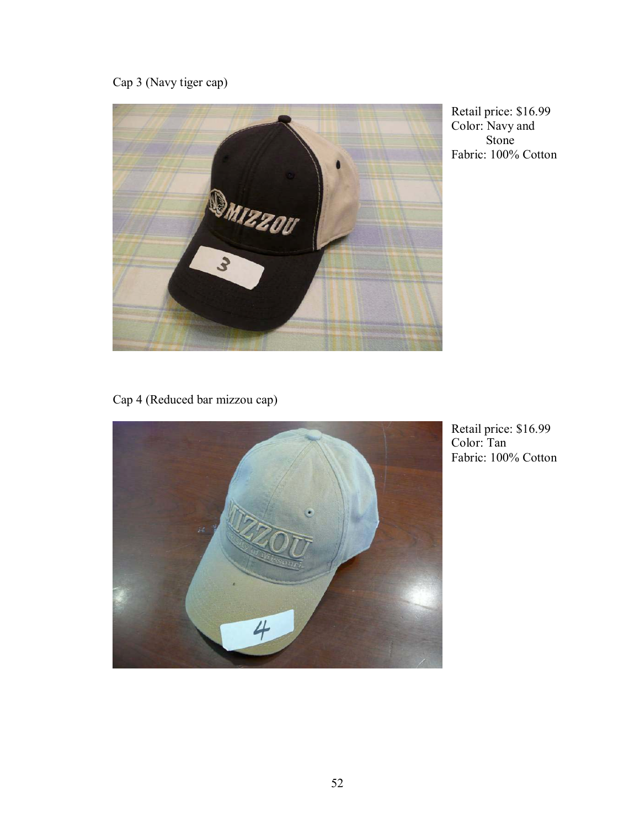Cap 3 (Navy tiger cap)



Retail price: \$16.99 Color: Navy and Stone Fabric: 100% Cotton

Cap 4 (Reduced bar mizzou cap)



Retail price: \$16.99 Color: Tan Fabric: 100% Cotton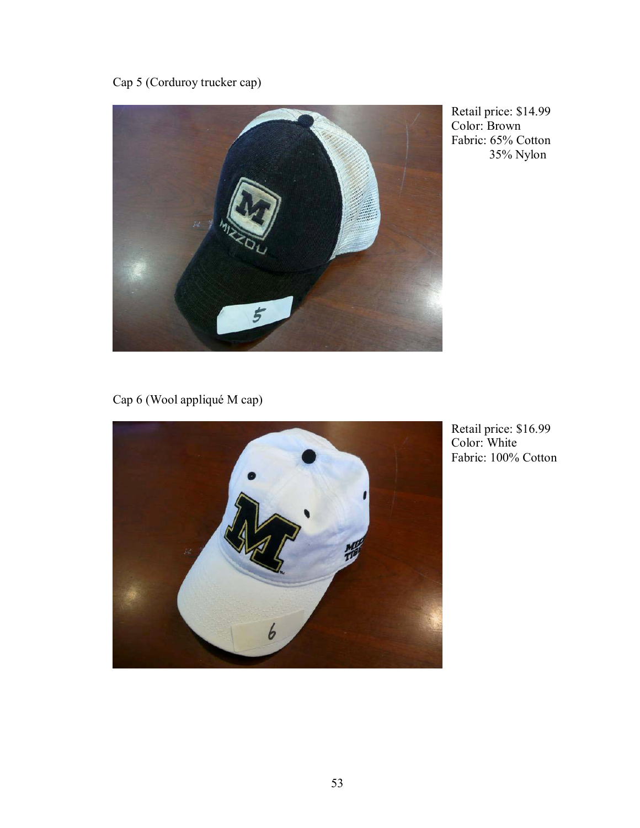Cap 5 (Corduroy trucker cap)



Retail price: \$14.99 Color: Brown Fabric: 65% Cotton 35% Nylon

Cap 6 (Wool appliqué M cap)



Retail price: \$16.99 Color: White Fabric: 100% Cotton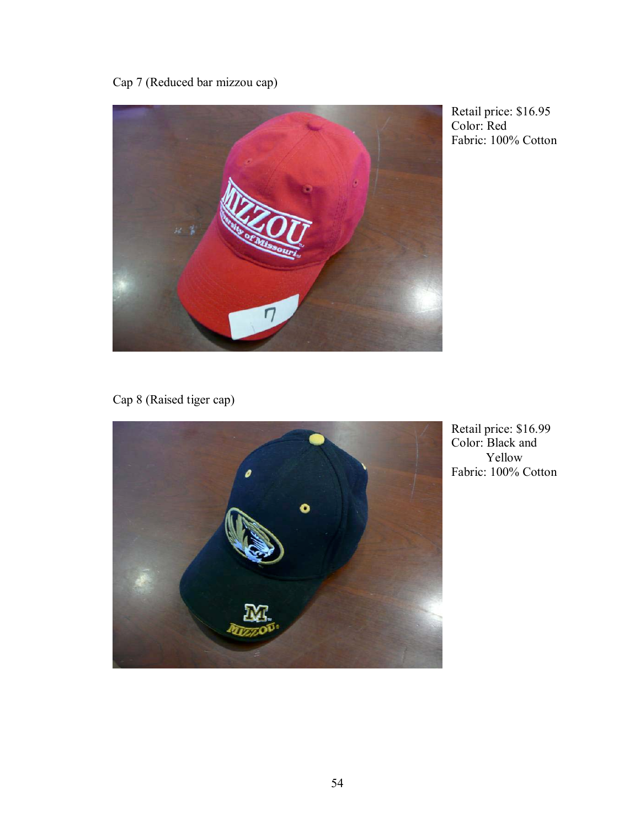Cap 7 (Reduced bar mizzou cap)



Retail price: \$16.95 Color: Red Fabric: 100% Cotton

Cap 8 (Raised tiger cap)



Retail price: \$16.99 Color: Black and Yellow Fabric: 100% Cotton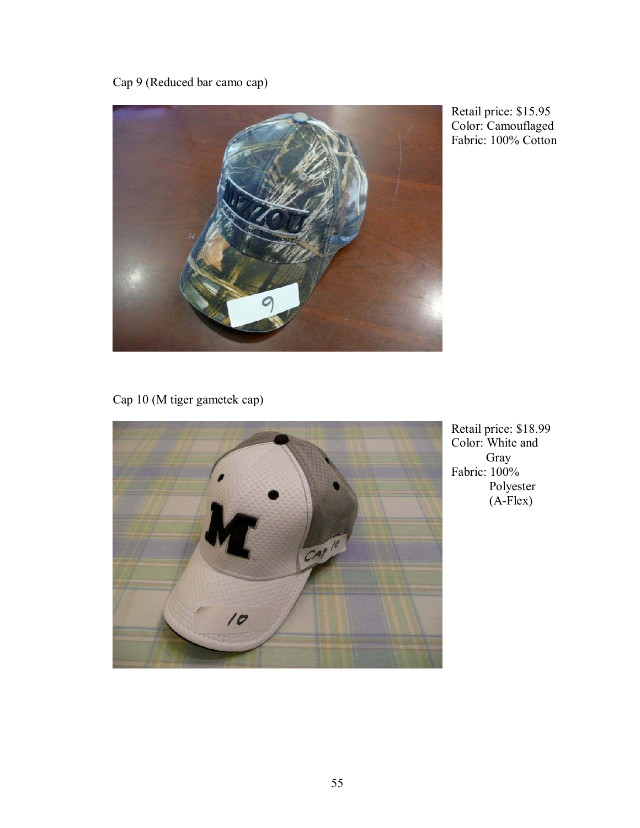Cap 9 (Reduced bar camo cap)



Retail price: \$15.95 Color: Camouflaged Fabric: 100% Cotton

Cap 10 (M tiger gametek cap)



Retail price: \$18.99 Color: White and Gray Fabric: 100% Polyester (A-Flex)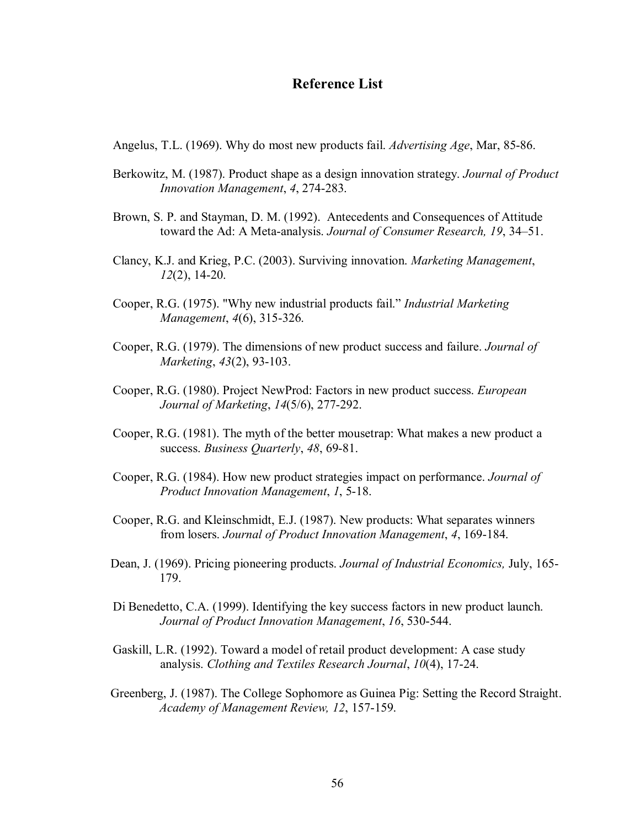## **Reference List**

Angelus, T.L. (1969). Why do most new products fail. *Advertising Age*, Mar, 85-86.

- Berkowitz, M. (1987). Product shape as a design innovation strategy. *Journal of Product Innovation Management*, *4*, 274-283.
- Brown, S. P. and Stayman, D. M. (1992). Antecedents and Consequences of Attitude toward the Ad: A Meta-analysis. *Journal of Consumer Research*, 19, 34–51.
- Clancy, K.J. and Krieg, P.C. (2003). Surviving innovation. *Marketing Management*, *12*(2), 14-20.
- Cooper, R.G. (1975). "Why new industrial products fail." *Industrial Marketing Management*, *4*(6), 315-326.
- Cooper, R.G. (1979). The dimensions of new product success and failure. *Journal of Marketing*, *43*(2), 93-103.
- Cooper, R.G. (1980). Project NewProd: Factors in new product success. *European Journal of Marketing*, *14*(5/6), 277-292.
- Cooper, R.G. (1981). The myth of the better mousetrap: What makes a new product a success. *Business Quarterly*, *48*, 69-81.
- Cooper, R.G. (1984). How new product strategies impact on performance. *Journal of Product Innovation Management*, *1*, 5-18.
- Cooper, R.G. and Kleinschmidt, E.J. (1987). New products: What separates winners from losers. *Journal of Product Innovation Management*, *4*, 169-184.
- Dean, J. (1969). Pricing pioneering products. *Journal of Industrial Economics,* July, 165- 179.
- Di Benedetto, C.A. (1999). Identifying the key success factors in new product launch. *Journal of Product Innovation Management*, *16*, 530-544.
- Gaskill, L.R. (1992). Toward a model of retail product development: A case study analysis. *Clothing and Textiles Research Journal*, *10*(4), 17-24.
- Greenberg, J. (1987). The College Sophomore as Guinea Pig: Setting the Record Straight. *Academy of Management Review, 12*, 157-159.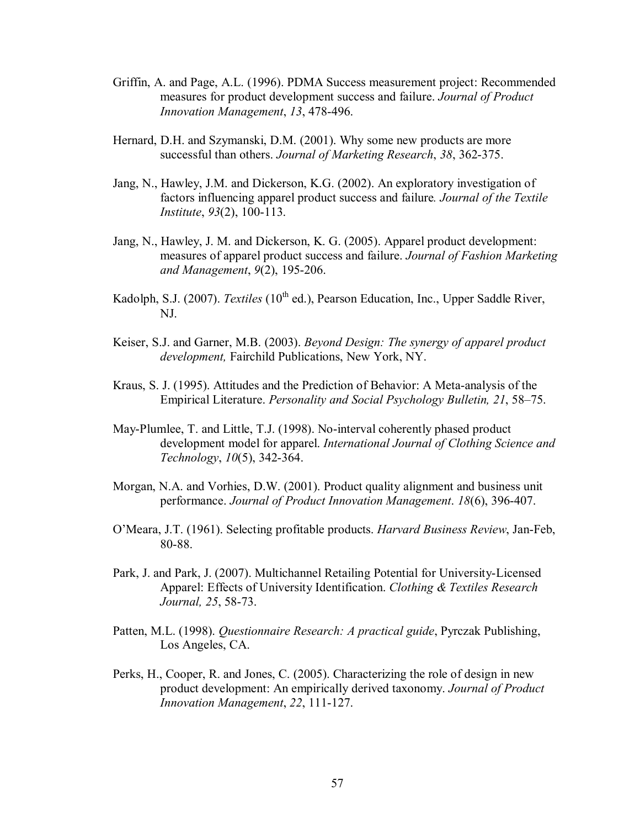- Griffin, A. and Page, A.L. (1996). PDMA Success measurement project: Recommended measures for product development success and failure. *Journal of Product Innovation Management*, *13*, 478-496.
- Hernard, D.H. and Szymanski, D.M. (2001). Why some new products are more successful than others. *Journal of Marketing Research*, *38*, 362-375.
- Jang, N., Hawley, J.M. and Dickerson, K.G. (2002). An exploratory investigation of factors influencing apparel product success and failure*. Journal of the Textile Institute*, *93*(2), 100-113.
- Jang, N., Hawley, J. M. and Dickerson, K. G. (2005). Apparel product development: measures of apparel product success and failure. *Journal of Fashion Marketing and Management*, *9*(2), 195-206.
- Kadolph, S.J. (2007). *Textiles* (10<sup>th</sup> ed.), Pearson Education, Inc., Upper Saddle River, NJ.
- Keiser, S.J. and Garner, M.B. (2003). *Beyond Design: The synergy of apparel product development,* Fairchild Publications, New York, NY.
- Kraus, S. J. (1995). Attitudes and the Prediction of Behavior: A Meta-analysis of the Empirical Literature. *Personality and Social Psychology Bulletin, 21, 58–75.*
- May-Plumlee, T. and Little, T.J. (1998). No-interval coherently phased product development model for apparel. *International Journal of Clothing Science and Technology*, *10*(5), 342-364.
- Morgan, N.A. and Vorhies, D.W. (2001). Product quality alignment and business unit performance. *Journal of Product Innovation Management*. *18*(6), 396-407.
- OíMeara, J.T. (1961). Selecting profitable products. *Harvard Business Review*, Jan-Feb, 80-88.
- Park, J. and Park, J. (2007). Multichannel Retailing Potential for University-Licensed Apparel: Effects of University Identification. *Clothing & Textiles Research Journal, 25*, 58-73.
- Patten, M.L. (1998). *Questionnaire Research: A practical guide*, Pyrczak Publishing, Los Angeles, CA.
- Perks, H., Cooper, R. and Jones, C. (2005). Characterizing the role of design in new product development: An empirically derived taxonomy. *Journal of Product Innovation Management*, *22*, 111-127.